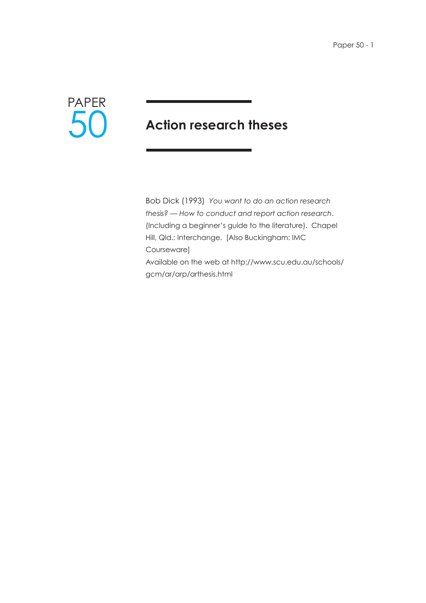

# **Action research theses**

Bob Dick (1993) *You want to do an action research thesis? — How to conduct and report action research*. (Including a beginner's guide to the literature). Chapel Hill, Qld.: Interchange. [Also Buckingham: IMC Courseware] Available on the web at http://www.scu.edu.au/schools/ gcm/ar/arp/arthesis.html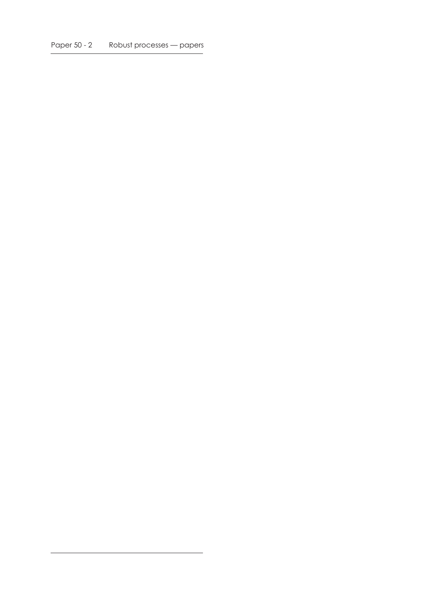Paper 50 - 2 Robust processes — papers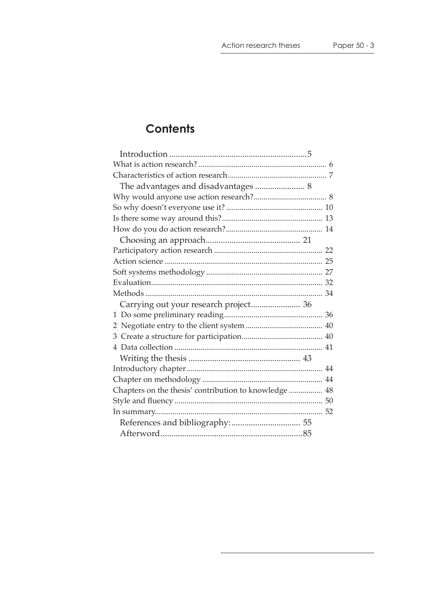# **Contents**

| The advantages and disadvantages  8                   |  |
|-------------------------------------------------------|--|
|                                                       |  |
|                                                       |  |
|                                                       |  |
|                                                       |  |
|                                                       |  |
|                                                       |  |
|                                                       |  |
|                                                       |  |
|                                                       |  |
|                                                       |  |
| Carrying out your research project 36                 |  |
|                                                       |  |
|                                                       |  |
| 3 <sup>1</sup>                                        |  |
|                                                       |  |
|                                                       |  |
|                                                       |  |
|                                                       |  |
| Chapters on the thesis' contribution to knowledge  48 |  |
|                                                       |  |
|                                                       |  |
|                                                       |  |
|                                                       |  |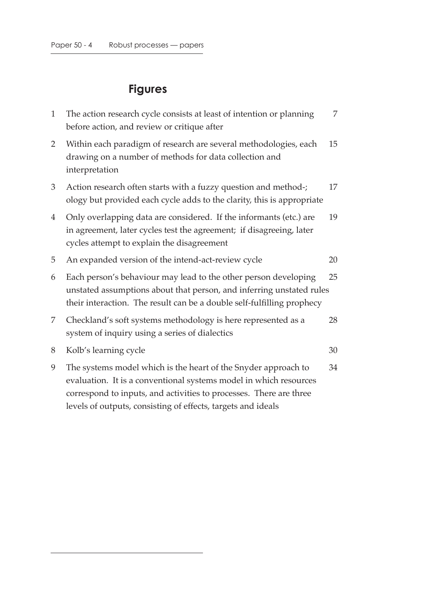# **Figures**

| 1              | The action research cycle consists at least of intention or planning<br>before action, and review or critique after                                                                                                                                                       | 7  |
|----------------|---------------------------------------------------------------------------------------------------------------------------------------------------------------------------------------------------------------------------------------------------------------------------|----|
| 2              | Within each paradigm of research are several methodologies, each<br>drawing on a number of methods for data collection and<br>interpretation                                                                                                                              | 15 |
| 3              | Action research often starts with a fuzzy question and method-;<br>ology but provided each cycle adds to the clarity, this is appropriate                                                                                                                                 | 17 |
| $\overline{4}$ | Only overlapping data are considered. If the informants (etc.) are<br>in agreement, later cycles test the agreement; if disagreeing, later<br>cycles attempt to explain the disagreement                                                                                  | 19 |
| 5              | An expanded version of the intend-act-review cycle                                                                                                                                                                                                                        | 20 |
| 6              | Each person's behaviour may lead to the other person developing<br>25<br>unstated assumptions about that person, and inferring unstated rules<br>their interaction. The result can be a double self-fulfilling prophecy                                                   |    |
| 7              | Checkland's soft systems methodology is here represented as a<br>system of inquiry using a series of dialectics                                                                                                                                                           | 28 |
| 8              | Kolb's learning cycle                                                                                                                                                                                                                                                     | 30 |
| 9              | The systems model which is the heart of the Snyder approach to<br>evaluation. It is a conventional systems model in which resources<br>correspond to inputs, and activities to processes. There are three<br>levels of outputs, consisting of effects, targets and ideals | 34 |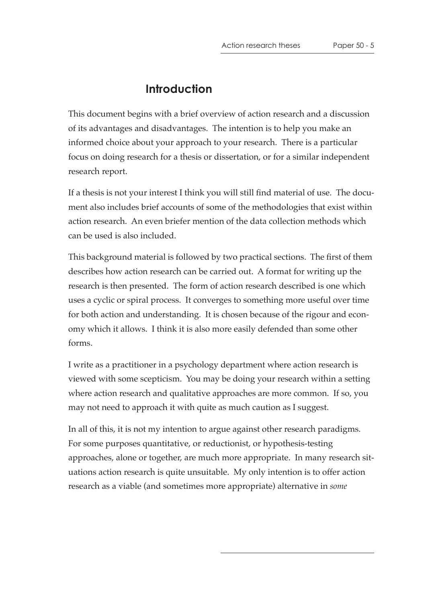## **Introduction**

This document begins with a brief overview of action research and a discussion of its advantages and disadvantages. The intention is to help you make an informed choice about your approach to your research. There is a particular focus on doing research for a thesis or dissertation, or for a similar independent research report.

If a thesis is not your interest I think you will still find material of use. The document also includes brief accounts of some of the methodologies that exist within action research. An even briefer mention of the data collection methods which can be used is also included.

This background material is followed by two practical sections. The first of them describes how action research can be carried out. A format for writing up the research is then presented. The form of action research described is one which uses a cyclic or spiral process. It converges to something more useful over time for both action and understanding. It is chosen because of the rigour and economy which it allows. I think it is also more easily defended than some other forms.

I write as a practitioner in a psychology department where action research is viewed with some scepticism. You may be doing your research within a setting where action research and qualitative approaches are more common. If so, you may not need to approach it with quite as much caution as I suggest.

In all of this, it is not my intention to argue against other research paradigms. For some purposes quantitative, or reductionist, or hypothesis-testing approaches, alone or together, are much more appropriate. In many research situations action research is quite unsuitable. My only intention is to offer action research as a viable (and sometimes more appropriate) alternative in *some*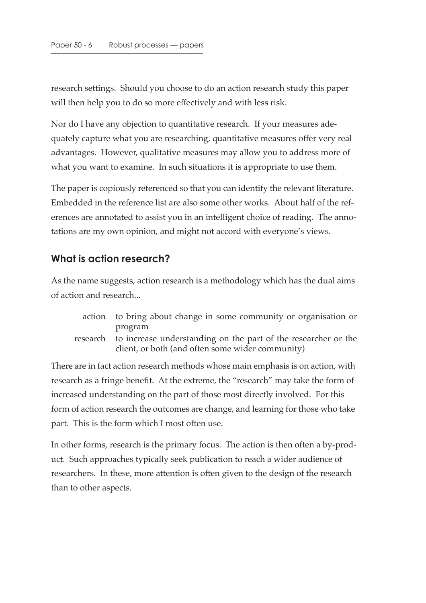research settings. Should you choose to do an action research study this paper will then help you to do so more effectively and with less risk.

Nor do I have any objection to quantitative research. If your measures adequately capture what you are researching, quantitative measures offer very real advantages. However, qualitative measures may allow you to address more of what you want to examine. In such situations it is appropriate to use them.

The paper is copiously referenced so that you can identify the relevant literature. Embedded in the reference list are also some other works. About half of the references are annotated to assist you in an intelligent choice of reading. The annotations are my own opinion, and might not accord with everyone's views.

#### **What is action research?**

As the name suggests, action research is a methodology which has the dual aims of action and research...

action to bring about change in some community or organisation or program research to increase understanding on the part of the researcher or the client, or both (and often some wider community)

There are in fact action research methods whose main emphasis is on action, with research as a fringe benefit. At the extreme, the "research" may take the form of increased understanding on the part of those most directly involved. For this form of action research the outcomes are change, and learning for those who take part. This is the form which I most often use.

In other forms, research is the primary focus. The action is then often a by-product. Such approaches typically seek publication to reach a wider audience of researchers. In these, more attention is often given to the design of the research than to other aspects.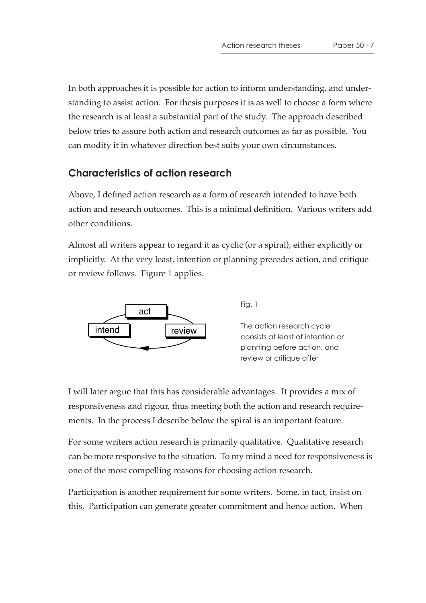In both approaches it is possible for action to inform understanding, and understanding to assist action. For thesis purposes it is as well to choose a form where the research is at least a substantial part of the study. The approach described below tries to assure both action and research outcomes as far as possible. You can modify it in whatever direction best suits your own circumstances.

### **Characteristics of action research**

Above, I defined action research as a form of research intended to have both action and research outcomes. This is a minimal definition. Various writers add other conditions.

Almost all writers appear to regard it as cyclic (or a spiral), either explicitly or implicitly. At the very least, intention or planning precedes action, and critique or review follows. Figure 1 applies.



Fig. 1

The action research cycle consists at least of intention or planning before action, and review or critique after

I will later argue that this has considerable advantages. It provides a mix of responsiveness and rigour, thus meeting both the action and research requirements. In the process I describe below the spiral is an important feature.

For some writers action research is primarily qualitative. Qualitative research can be more responsive to the situation. To my mind a need for responsiveness is one of the most compelling reasons for choosing action research.

Participation is another requirement for some writers. Some, in fact, insist on this. Participation can generate greater commitment and hence action. When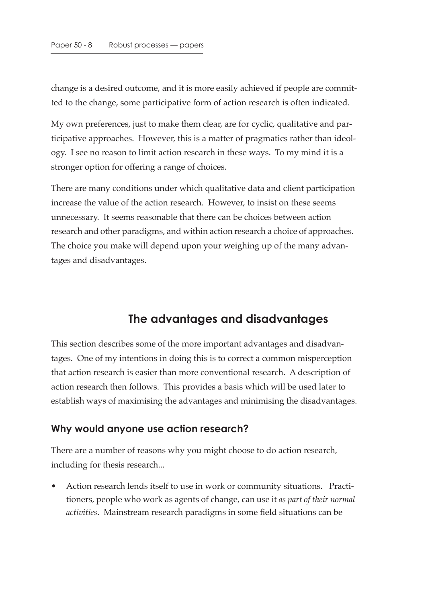change is a desired outcome, and it is more easily achieved if people are committed to the change, some participative form of action research is often indicated.

My own preferences, just to make them clear, are for cyclic, qualitative and participative approaches. However, this is a matter of pragmatics rather than ideology. I see no reason to limit action research in these ways. To my mind it is a stronger option for offering a range of choices.

There are many conditions under which qualitative data and client participation increase the value of the action research. However, to insist on these seems unnecessary. It seems reasonable that there can be choices between action research and other paradigms, and within action research a choice of approaches. The choice you make will depend upon your weighing up of the many advantages and disadvantages.

## **The advantages and disadvantages**

This section describes some of the more important advantages and disadvantages. One of my intentions in doing this is to correct a common misperception that action research is easier than more conventional research. A description of action research then follows. This provides a basis which will be used later to establish ways of maximising the advantages and minimising the disadvantages.

#### **Why would anyone use action research?**

There are a number of reasons why you might choose to do action research, including for thesis research...

• Action research lends itself to use in work or community situations. Practitioners, people who work as agents of change, can use it *as part of their normal activities*. Mainstream research paradigms in some field situations can be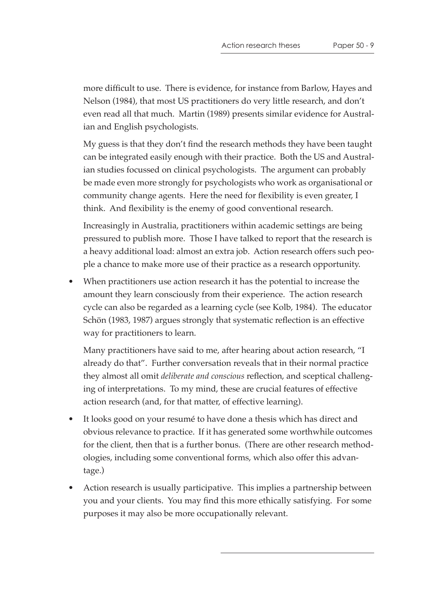more difficult to use. There is evidence, for instance from Barlow, Hayes and Nelson (1984), that most US practitioners do very little research, and don't even read all that much. Martin (1989) presents similar evidence for Australian and English psychologists.

My guess is that they don't find the research methods they have been taught can be integrated easily enough with their practice. Both the US and Australian studies focussed on clinical psychologists. The argument can probably be made even more strongly for psychologists who work as organisational or community change agents. Here the need for flexibility is even greater, I think. And flexibility is the enemy of good conventional research.

Increasingly in Australia, practitioners within academic settings are being pressured to publish more. Those I have talked to report that the research is a heavy additional load: almost an extra job. Action research offers such people a chance to make more use of their practice as a research opportunity.

When practitioners use action research it has the potential to increase the amount they learn consciously from their experience. The action research cycle can also be regarded as a learning cycle (see Kolb, 1984). The educator Schön (1983, 1987) argues strongly that systematic reflection is an effective way for practitioners to learn.

Many practitioners have said to me, after hearing about action research, "I already do that". Further conversation reveals that in their normal practice they almost all omit *deliberate and conscious* reflection, and sceptical challenging of interpretations. To my mind, these are crucial features of effective action research (and, for that matter, of effective learning).

- It looks good on your resumé to have done a thesis which has direct and obvious relevance to practice. If it has generated some worthwhile outcomes for the client, then that is a further bonus. (There are other research methodologies, including some conventional forms, which also offer this advantage.)
- Action research is usually participative. This implies a partnership between you and your clients. You may find this more ethically satisfying. For some purposes it may also be more occupationally relevant.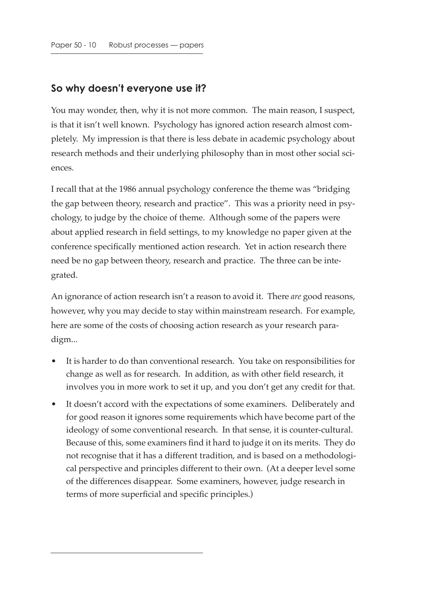#### **So why doesn't everyone use it?**

You may wonder, then, why it is not more common. The main reason, I suspect, is that it isn't well known. Psychology has ignored action research almost completely. My impression is that there is less debate in academic psychology about research methods and their underlying philosophy than in most other social sciences.

I recall that at the 1986 annual psychology conference the theme was "bridging the gap between theory, research and practice". This was a priority need in psychology, to judge by the choice of theme. Although some of the papers were about applied research in field settings, to my knowledge no paper given at the conference specifically mentioned action research. Yet in action research there need be no gap between theory, research and practice. The three can be integrated.

An ignorance of action research isn't a reason to avoid it. There *are* good reasons, however, why you may decide to stay within mainstream research. For example, here are some of the costs of choosing action research as your research paradigm...

- It is harder to do than conventional research. You take on responsibilities for change as well as for research. In addition, as with other field research, it involves you in more work to set it up, and you don't get any credit for that.
- It doesn't accord with the expectations of some examiners. Deliberately and for good reason it ignores some requirements which have become part of the ideology of some conventional research. In that sense, it is counter-cultural. Because of this, some examiners find it hard to judge it on its merits. They do not recognise that it has a different tradition, and is based on a methodological perspective and principles different to their own. (At a deeper level some of the differences disappear. Some examiners, however, judge research in terms of more superficial and specific principles.)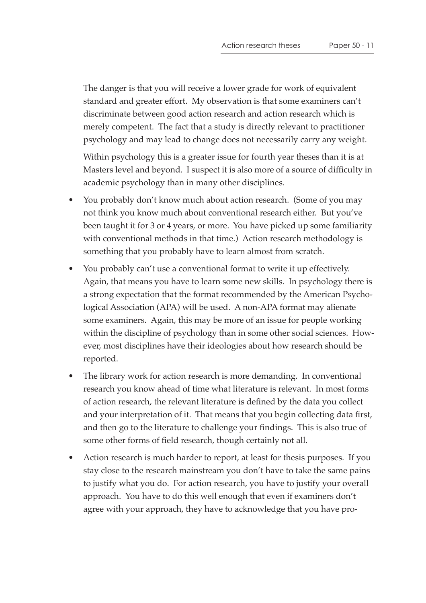The danger is that you will receive a lower grade for work of equivalent standard and greater effort. My observation is that some examiners can't discriminate between good action research and action research which is merely competent. The fact that a study is directly relevant to practitioner psychology and may lead to change does not necessarily carry any weight.

Within psychology this is a greater issue for fourth year theses than it is at Masters level and beyond. I suspect it is also more of a source of difficulty in academic psychology than in many other disciplines.

- You probably don't know much about action research. (Some of you may not think you know much about conventional research either. But you've been taught it for 3 or 4 years, or more. You have picked up some familiarity with conventional methods in that time.) Action research methodology is something that you probably have to learn almost from scratch.
- You probably can't use a conventional format to write it up effectively. Again, that means you have to learn some new skills. In psychology there is a strong expectation that the format recommended by the American Psychological Association (APA) will be used. A non-APA format may alienate some examiners. Again, this may be more of an issue for people working within the discipline of psychology than in some other social sciences. However, most disciplines have their ideologies about how research should be reported.
- The library work for action research is more demanding. In conventional research you know ahead of time what literature is relevant. In most forms of action research, the relevant literature is defined by the data you collect and your interpretation of it. That means that you begin collecting data first, and then go to the literature to challenge your findings. This is also true of some other forms of field research, though certainly not all.
- Action research is much harder to report, at least for thesis purposes. If you stay close to the research mainstream you don't have to take the same pains to justify what you do. For action research, you have to justify your overall approach. You have to do this well enough that even if examiners don't agree with your approach, they have to acknowledge that you have pro-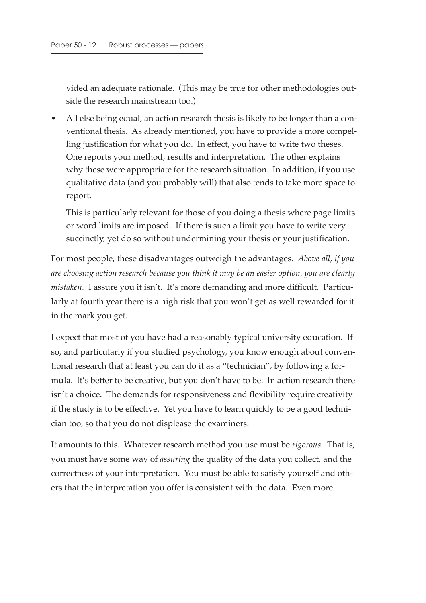vided an adequate rationale. (This may be true for other methodologies outside the research mainstream too.)

• All else being equal, an action research thesis is likely to be longer than a conventional thesis. As already mentioned, you have to provide a more compelling justification for what you do. In effect, you have to write two theses. One reports your method, results and interpretation. The other explains why these were appropriate for the research situation. In addition, if you use qualitative data (and you probably will) that also tends to take more space to report.

This is particularly relevant for those of you doing a thesis where page limits or word limits are imposed. If there is such a limit you have to write very succinctly, yet do so without undermining your thesis or your justification.

For most people, these disadvantages outweigh the advantages. *Above all, if you are choosing action research because you think it may be an easier option, you are clearly mistaken.* I assure you it isn't. It's more demanding and more difficult. Particularly at fourth year there is a high risk that you won't get as well rewarded for it in the mark you get.

I expect that most of you have had a reasonably typical university education. If so, and particularly if you studied psychology, you know enough about conventional research that at least you can do it as a "technician", by following a formula. It's better to be creative, but you don't have to be. In action research there isn't a choice. The demands for responsiveness and flexibility require creativity if the study is to be effective. Yet you have to learn quickly to be a good technician too, so that you do not displease the examiners.

It amounts to this. Whatever research method you use must be *rigorous*. That is, you must have some way of *assuring* the quality of the data you collect, and the correctness of your interpretation. You must be able to satisfy yourself and others that the interpretation you offer is consistent with the data. Even more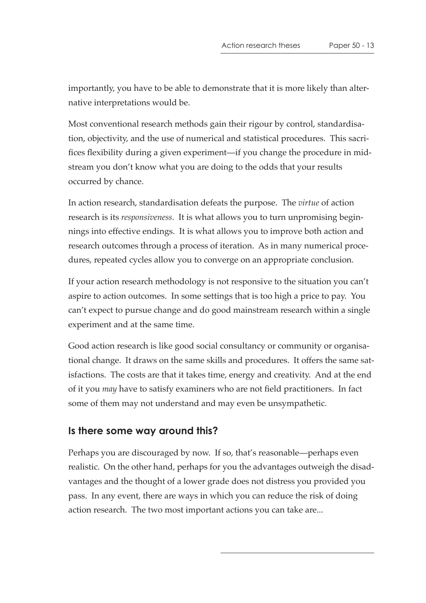importantly, you have to be able to demonstrate that it is more likely than alternative interpretations would be.

Most conventional research methods gain their rigour by control, standardisation, objectivity, and the use of numerical and statistical procedures. This sacrifices flexibility during a given experiment—if you change the procedure in midstream you don't know what you are doing to the odds that your results occurred by chance.

In action research, standardisation defeats the purpose. The *virtue* of action research is its *responsiveness*. It is what allows you to turn unpromising beginnings into effective endings. It is what allows you to improve both action and research outcomes through a process of iteration. As in many numerical procedures, repeated cycles allow you to converge on an appropriate conclusion.

If your action research methodology is not responsive to the situation you can't aspire to action outcomes. In some settings that is too high a price to pay. You can't expect to pursue change and do good mainstream research within a single experiment and at the same time.

Good action research is like good social consultancy or community or organisational change. It draws on the same skills and procedures. It offers the same satisfactions. The costs are that it takes time, energy and creativity. And at the end of it you *may* have to satisfy examiners who are not field practitioners. In fact some of them may not understand and may even be unsympathetic.

#### **Is there some way around this?**

Perhaps you are discouraged by now. If so, that's reasonable—perhaps even realistic. On the other hand, perhaps for you the advantages outweigh the disadvantages and the thought of a lower grade does not distress you provided you pass. In any event, there are ways in which you can reduce the risk of doing action research. The two most important actions you can take are...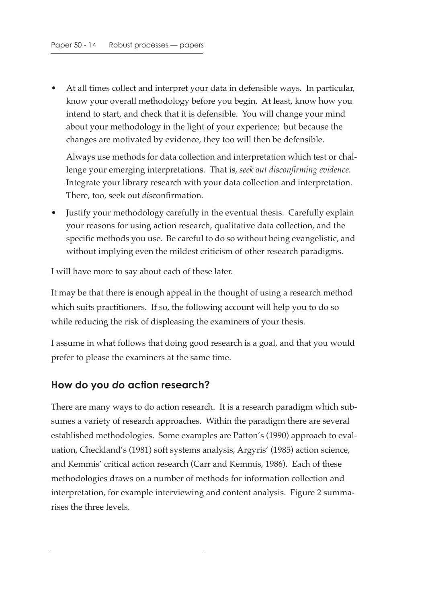• At all times collect and interpret your data in defensible ways. In particular, know your overall methodology before you begin. At least, know how you intend to start, and check that it is defensible. You will change your mind about your methodology in the light of your experience; but because the changes are motivated by evidence, they too will then be defensible.

Always use methods for data collection and interpretation which test or challenge your emerging interpretations. That is, *seek out disconfirming evidence*. Integrate your library research with your data collection and interpretation. There, too, seek out *dis*confirmation.

• Justify your methodology carefully in the eventual thesis. Carefully explain your reasons for using action research, qualitative data collection, and the specific methods you use. Be careful to do so without being evangelistic, and without implying even the mildest criticism of other research paradigms.

I will have more to say about each of these later.

It may be that there is enough appeal in the thought of using a research method which suits practitioners. If so, the following account will help you to do so while reducing the risk of displeasing the examiners of your thesis.

I assume in what follows that doing good research is a goal, and that you would prefer to please the examiners at the same time.

#### **How do you** *do* **action research?**

There are many ways to do action research. It is a research paradigm which subsumes a variety of research approaches. Within the paradigm there are several established methodologies. Some examples are Patton's (1990) approach to evaluation, Checkland's (1981) soft systems analysis, Argyris' (1985) action science, and Kemmis' critical action research (Carr and Kemmis, 1986). Each of these methodologies draws on a number of methods for information collection and interpretation, for example interviewing and content analysis. Figure 2 summarises the three levels.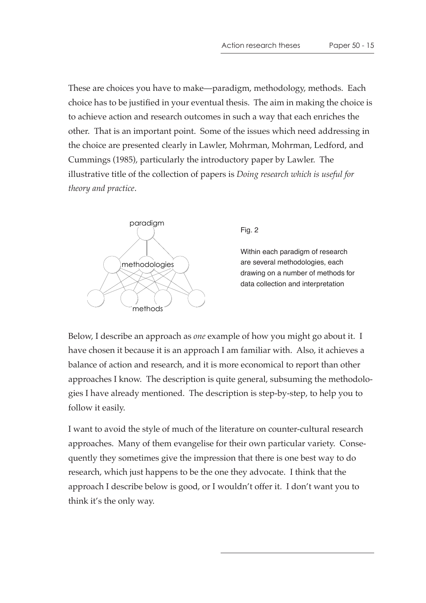These are choices you have to make—paradigm, methodology, methods. Each choice has to be justified in your eventual thesis. The aim in making the choice is to achieve action and research outcomes in such a way that each enriches the other. That is an important point. Some of the issues which need addressing in the choice are presented clearly in Lawler, Mohrman, Mohrman, Ledford, and Cummings (1985), particularly the introductory paper by Lawler. The illustrative title of the collection of papers is *Doing research which is useful for theory and practice*.



Fig. 2

Within each paradigm of research are several methodologies, each drawing on a number of methods for data collection and interpretation

Below, I describe an approach as *one* example of how you might go about it. I have chosen it because it is an approach I am familiar with. Also, it achieves a balance of action and research, and it is more economical to report than other approaches I know. The description is quite general, subsuming the methodologies I have already mentioned. The description is step-by-step, to help you to follow it easily.

I want to avoid the style of much of the literature on counter-cultural research approaches. Many of them evangelise for their own particular variety. Consequently they sometimes give the impression that there is one best way to do research, which just happens to be the one they advocate. I think that the approach I describe below is good, or I wouldn't offer it. I don't want you to think it's the only way.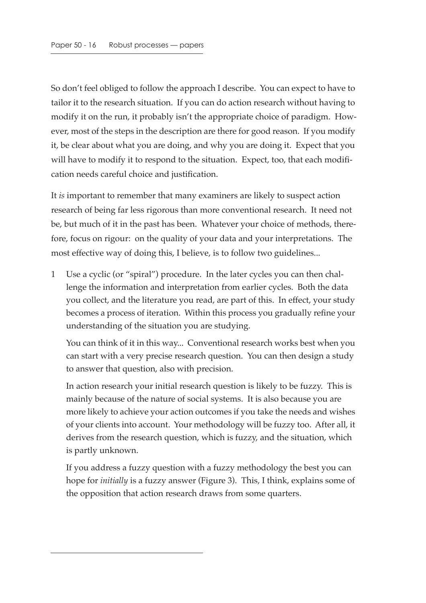So don't feel obliged to follow the approach I describe. You can expect to have to tailor it to the research situation. If you can do action research without having to modify it on the run, it probably isn't the appropriate choice of paradigm. However, most of the steps in the description are there for good reason. If you modify it, be clear about what you are doing, and why you are doing it. Expect that you will have to modify it to respond to the situation. Expect, too, that each modification needs careful choice and justification.

It *is* important to remember that many examiners are likely to suspect action research of being far less rigorous than more conventional research. It need not be, but much of it in the past has been. Whatever your choice of methods, therefore, focus on rigour: on the quality of your data and your interpretations. The most effective way of doing this, I believe, is to follow two guidelines...

1 Use a cyclic (or "spiral") procedure. In the later cycles you can then challenge the information and interpretation from earlier cycles. Both the data you collect, and the literature you read, are part of this. In effect, your study becomes a process of iteration. Within this process you gradually refine your understanding of the situation you are studying.

You can think of it in this way... Conventional research works best when you can start with a very precise research question. You can then design a study to answer that question, also with precision.

In action research your initial research question is likely to be fuzzy. This is mainly because of the nature of social systems. It is also because you are more likely to achieve your action outcomes if you take the needs and wishes of your clients into account. Your methodology will be fuzzy too. After all, it derives from the research question, which is fuzzy, and the situation, which is partly unknown.

If you address a fuzzy question with a fuzzy methodology the best you can hope for *initially* is a fuzzy answer (Figure 3). This, I think, explains some of the opposition that action research draws from some quarters.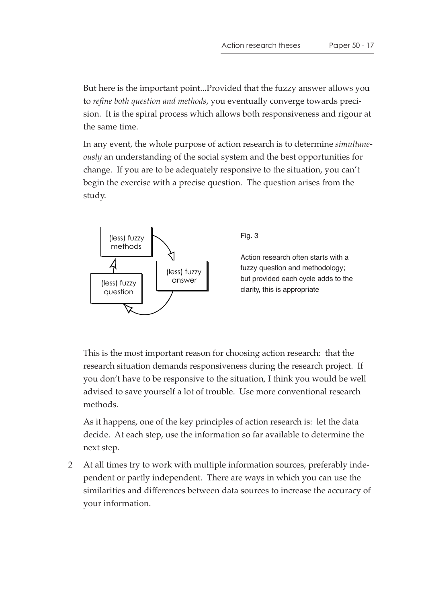But here is the important point...Provided that the fuzzy answer allows you to *refine both question and methods*, you eventually converge towards precision. It is the spiral process which allows both responsiveness and rigour at the same time.

In any event, the whole purpose of action research is to determine *simultaneously* an understanding of the social system and the best opportunities for change. If you are to be adequately responsive to the situation, you can't begin the exercise with a precise question. The question arises from the study.



This is the most important reason for choosing action research: that the research situation demands responsiveness during the research project. If you don't have to be responsive to the situation, I think you would be well advised to save yourself a lot of trouble. Use more conventional research methods.

As it happens, one of the key principles of action research is: let the data decide. At each step, use the information so far available to determine the next step.

2 At all times try to work with multiple information sources, preferably independent or partly independent. There are ways in which you can use the similarities and differences between data sources to increase the accuracy of your information.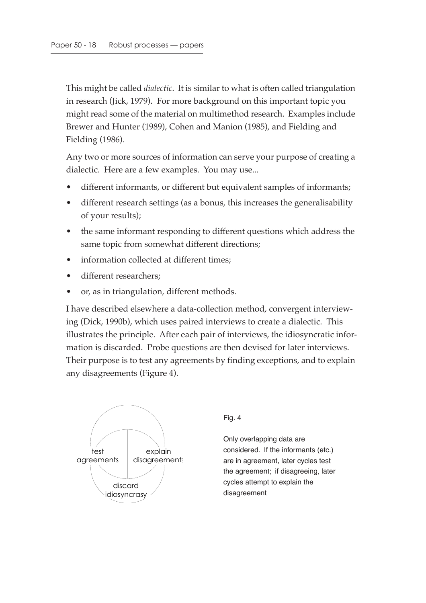This might be called *dialectic*. It is similar to what is often called triangulation in research (Jick, 1979). For more background on this important topic you might read some of the material on multimethod research. Examples include Brewer and Hunter (1989), Cohen and Manion (1985), and Fielding and Fielding (1986).

Any two or more sources of information can serve your purpose of creating a dialectic. Here are a few examples. You may use...

- different informants, or different but equivalent samples of informants;
- different research settings (as a bonus, this increases the generalisability of your results);
- the same informant responding to different questions which address the same topic from somewhat different directions;
- information collected at different times;
- different researchers;
- or, as in triangulation, different methods.

I have described elsewhere a data-collection method, convergent interviewing (Dick, 1990b), which uses paired interviews to create a dialectic. This illustrates the principle. After each pair of interviews, the idiosyncratic information is discarded. Probe questions are then devised for later interviews. Their purpose is to test any agreements by finding exceptions, and to explain any disagreements (Figure 4).





Only overlapping data are considered. If the informants (etc.) are in agreement, later cycles test the agreement; if disagreeing, later cycles attempt to explain the disagreement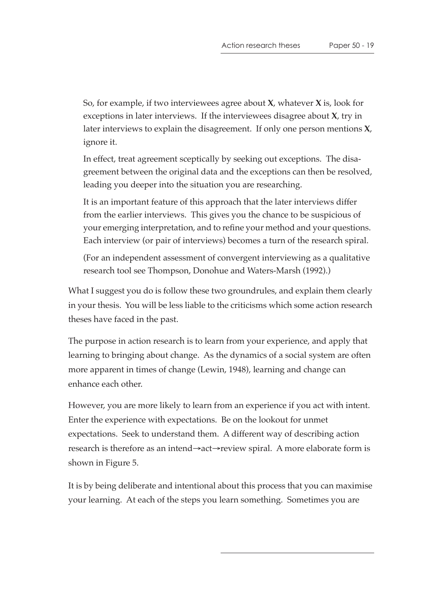So, for example, if two interviewees agree about **X**, whatever **X** is, look for exceptions in later interviews. If the interviewees disagree about **X**, try in later interviews to explain the disagreement. If only one person mentions **X**, ignore it.

In effect, treat agreement sceptically by seeking out exceptions. The disagreement between the original data and the exceptions can then be resolved, leading you deeper into the situation you are researching.

It is an important feature of this approach that the later interviews differ from the earlier interviews. This gives you the chance to be suspicious of your emerging interpretation, and to refine your method and your questions. Each interview (or pair of interviews) becomes a turn of the research spiral.

(For an independent assessment of convergent interviewing as a qualitative research tool see Thompson, Donohue and Waters-Marsh (1992).)

What I suggest you do is follow these two groundrules, and explain them clearly in your thesis. You will be less liable to the criticisms which some action research theses have faced in the past.

The purpose in action research is to learn from your experience, and apply that learning to bringing about change. As the dynamics of a social system are often more apparent in times of change (Lewin, 1948), learning and change can enhance each other.

However, you are more likely to learn from an experience if you act with intent. Enter the experience with expectations. Be on the lookout for unmet expectations. Seek to understand them. A different way of describing action research is therefore as an intend→act→review spiral. A more elaborate form is shown in Figure 5.

It is by being deliberate and intentional about this process that you can maximise your learning. At each of the steps you learn something. Sometimes you are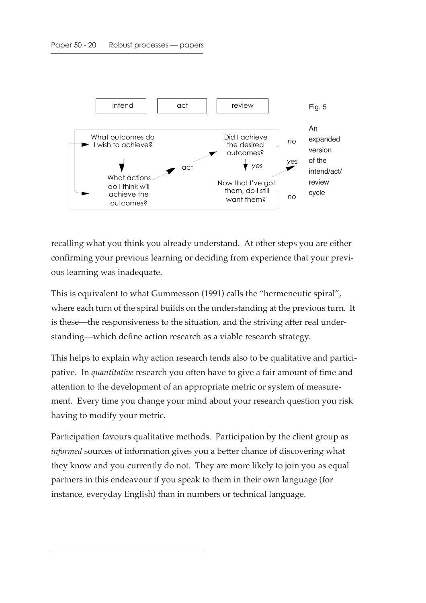

recalling what you think you already understand. At other steps you are either confirming your previous learning or deciding from experience that your previous learning was inadequate.

This is equivalent to what Gummesson (1991) calls the "hermeneutic spiral", where each turn of the spiral builds on the understanding at the previous turn. It is these—the responsiveness to the situation, and the striving after real understanding—which define action research as a viable research strategy.

This helps to explain why action research tends also to be qualitative and participative. In *quantitative* research you often have to give a fair amount of time and attention to the development of an appropriate metric or system of measurement. Every time you change your mind about your research question you risk having to modify your metric.

Participation favours qualitative methods. Participation by the client group as *informed* sources of information gives you a better chance of discovering what they know and you currently do not. They are more likely to join you as equal partners in this endeavour if you speak to them in their own language (for instance, everyday English) than in numbers or technical language.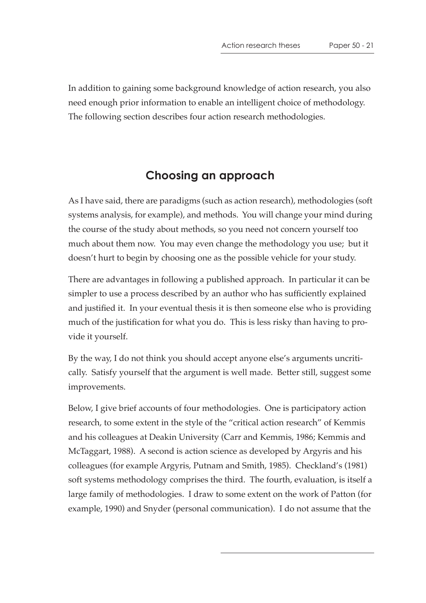In addition to gaining some background knowledge of action research, you also need enough prior information to enable an intelligent choice of methodology. The following section describes four action research methodologies.

# **Choosing an approach**

As I have said, there are paradigms (such as action research), methodologies (soft systems analysis, for example), and methods. You will change your mind during the course of the study about methods, so you need not concern yourself too much about them now. You may even change the methodology you use; but it doesn't hurt to begin by choosing one as the possible vehicle for your study.

There are advantages in following a published approach. In particular it can be simpler to use a process described by an author who has sufficiently explained and justified it. In your eventual thesis it is then someone else who is providing much of the justification for what you do. This is less risky than having to provide it yourself.

By the way, I do not think you should accept anyone else's arguments uncritically. Satisfy yourself that the argument is well made. Better still, suggest some improvements.

Below, I give brief accounts of four methodologies. One is participatory action research, to some extent in the style of the "critical action research" of Kemmis and his colleagues at Deakin University (Carr and Kemmis, 1986; Kemmis and McTaggart, 1988). A second is action science as developed by Argyris and his colleagues (for example Argyris, Putnam and Smith, 1985). Checkland's (1981) soft systems methodology comprises the third. The fourth, evaluation, is itself a large family of methodologies. I draw to some extent on the work of Patton (for example, 1990) and Snyder (personal communication). I do not assume that the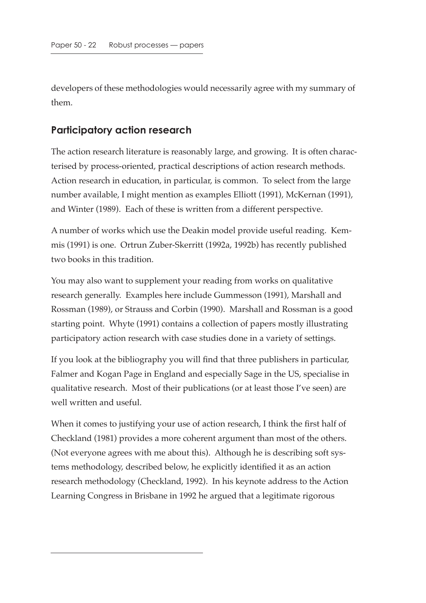developers of these methodologies would necessarily agree with my summary of them.

#### **Participatory action research**

The action research literature is reasonably large, and growing. It is often characterised by process-oriented, practical descriptions of action research methods. Action research in education, in particular, is common. To select from the large number available, I might mention as examples Elliott (1991), McKernan (1991), and Winter (1989). Each of these is written from a different perspective.

A number of works which use the Deakin model provide useful reading. Kemmis (1991) is one. Ortrun Zuber-Skerritt (1992a, 1992b) has recently published two books in this tradition.

You may also want to supplement your reading from works on qualitative research generally. Examples here include Gummesson (1991), Marshall and Rossman (1989), or Strauss and Corbin (1990). Marshall and Rossman is a good starting point. Whyte (1991) contains a collection of papers mostly illustrating participatory action research with case studies done in a variety of settings.

If you look at the bibliography you will find that three publishers in particular, Falmer and Kogan Page in England and especially Sage in the US, specialise in qualitative research. Most of their publications (or at least those I've seen) are well written and useful.

When it comes to justifying your use of action research, I think the first half of Checkland (1981) provides a more coherent argument than most of the others. (Not everyone agrees with me about this). Although he is describing soft systems methodology, described below, he explicitly identified it as an action research methodology (Checkland, 1992). In his keynote address to the Action Learning Congress in Brisbane in 1992 he argued that a legitimate rigorous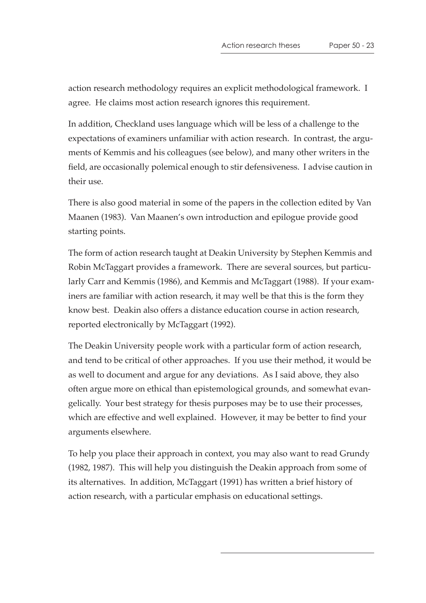action research methodology requires an explicit methodological framework. I agree. He claims most action research ignores this requirement.

In addition, Checkland uses language which will be less of a challenge to the expectations of examiners unfamiliar with action research. In contrast, the arguments of Kemmis and his colleagues (see below), and many other writers in the field, are occasionally polemical enough to stir defensiveness. I advise caution in their use.

There is also good material in some of the papers in the collection edited by Van Maanen (1983). Van Maanen's own introduction and epilogue provide good starting points.

The form of action research taught at Deakin University by Stephen Kemmis and Robin McTaggart provides a framework. There are several sources, but particularly Carr and Kemmis (1986), and Kemmis and McTaggart (1988). If your examiners are familiar with action research, it may well be that this is the form they know best. Deakin also offers a distance education course in action research, reported electronically by McTaggart (1992).

The Deakin University people work with a particular form of action research, and tend to be critical of other approaches. If you use their method, it would be as well to document and argue for any deviations. As I said above, they also often argue more on ethical than epistemological grounds, and somewhat evangelically. Your best strategy for thesis purposes may be to use their processes, which are effective and well explained. However, it may be better to find your arguments elsewhere.

To help you place their approach in context, you may also want to read Grundy (1982, 1987). This will help you distinguish the Deakin approach from some of its alternatives. In addition, McTaggart (1991) has written a brief history of action research, with a particular emphasis on educational settings.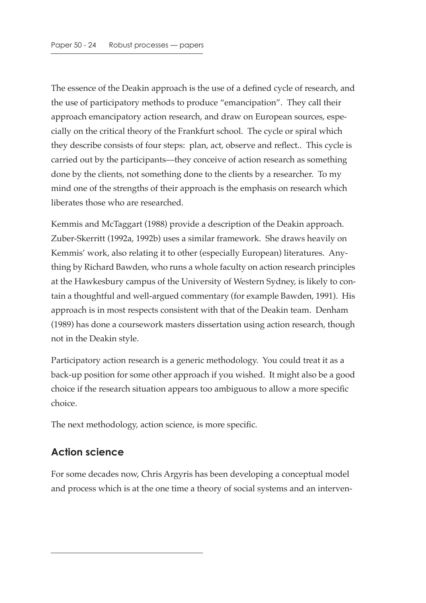The essence of the Deakin approach is the use of a defined cycle of research, and the use of participatory methods to produce "emancipation". They call their approach emancipatory action research, and draw on European sources, especially on the critical theory of the Frankfurt school. The cycle or spiral which they describe consists of four steps: plan, act, observe and reflect.. This cycle is carried out by the participants—they conceive of action research as something done by the clients, not something done to the clients by a researcher. To my mind one of the strengths of their approach is the emphasis on research which liberates those who are researched.

Kemmis and McTaggart (1988) provide a description of the Deakin approach. Zuber-Skerritt (1992a, 1992b) uses a similar framework. She draws heavily on Kemmis' work, also relating it to other (especially European) literatures. Anything by Richard Bawden, who runs a whole faculty on action research principles at the Hawkesbury campus of the University of Western Sydney, is likely to contain a thoughtful and well-argued commentary (for example Bawden, 1991). His approach is in most respects consistent with that of the Deakin team. Denham (1989) has done a coursework masters dissertation using action research, though not in the Deakin style.

Participatory action research is a generic methodology. You could treat it as a back-up position for some other approach if you wished. It might also be a good choice if the research situation appears too ambiguous to allow a more specific choice.

The next methodology, action science, is more specific.

#### **Action science**

For some decades now, Chris Argyris has been developing a conceptual model and process which is at the one time a theory of social systems and an interven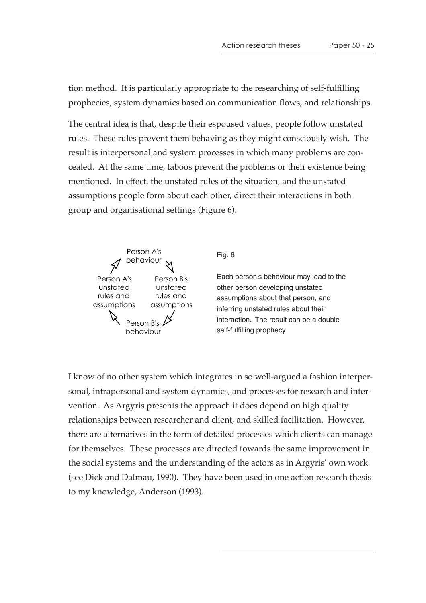tion method. It is particularly appropriate to the researching of self-fulfilling prophecies, system dynamics based on communication flows, and relationships.

The central idea is that, despite their espoused values, people follow unstated rules. These rules prevent them behaving as they might consciously wish. The result is interpersonal and system processes in which many problems are concealed. At the same time, taboos prevent the problems or their existence being mentioned. In effect, the unstated rules of the situation, and the unstated assumptions people form about each other, direct their interactions in both group and organisational settings (Figure 6).



Fig. 6

Each person's behaviour may lead to the other person developing unstated assumptions about that person, and inferring unstated rules about their interaction. The result can be a double self-fulfilling prophecy

I know of no other system which integrates in so well-argued a fashion interpersonal, intrapersonal and system dynamics, and processes for research and intervention. As Argyris presents the approach it does depend on high quality relationships between researcher and client, and skilled facilitation. However, there are alternatives in the form of detailed processes which clients can manage for themselves. These processes are directed towards the same improvement in the social systems and the understanding of the actors as in Argyris' own work (see Dick and Dalmau, 1990). They have been used in one action research thesis to my knowledge, Anderson (1993).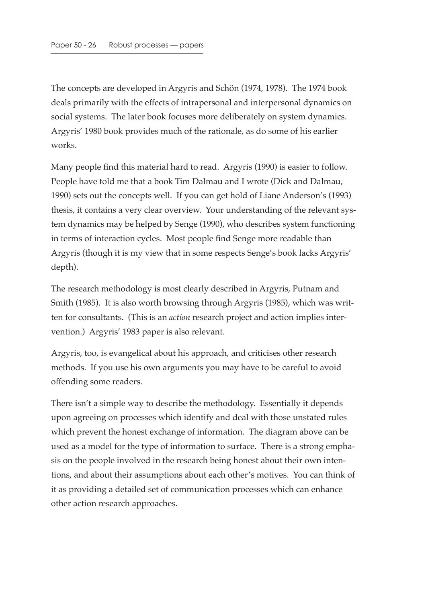The concepts are developed in Argyris and Schön (1974, 1978). The 1974 book deals primarily with the effects of intrapersonal and interpersonal dynamics on social systems. The later book focuses more deliberately on system dynamics. Argyris' 1980 book provides much of the rationale, as do some of his earlier works.

Many people find this material hard to read. Argyris (1990) is easier to follow. People have told me that a book Tim Dalmau and I wrote (Dick and Dalmau, 1990) sets out the concepts well. If you can get hold of Liane Anderson's (1993) thesis, it contains a very clear overview. Your understanding of the relevant system dynamics may be helped by Senge (1990), who describes system functioning in terms of interaction cycles. Most people find Senge more readable than Argyris (though it is my view that in some respects Senge's book lacks Argyris' depth).

The research methodology is most clearly described in Argyris, Putnam and Smith (1985). It is also worth browsing through Argyris (1985), which was written for consultants. (This is an *action* research project and action implies intervention.) Argyris' 1983 paper is also relevant.

Argyris, too, is evangelical about his approach, and criticises other research methods. If you use his own arguments you may have to be careful to avoid offending some readers.

There isn't a simple way to describe the methodology. Essentially it depends upon agreeing on processes which identify and deal with those unstated rules which prevent the honest exchange of information. The diagram above can be used as a model for the type of information to surface. There is a strong emphasis on the people involved in the research being honest about their own intentions, and about their assumptions about each other's motives. You can think of it as providing a detailed set of communication processes which can enhance other action research approaches.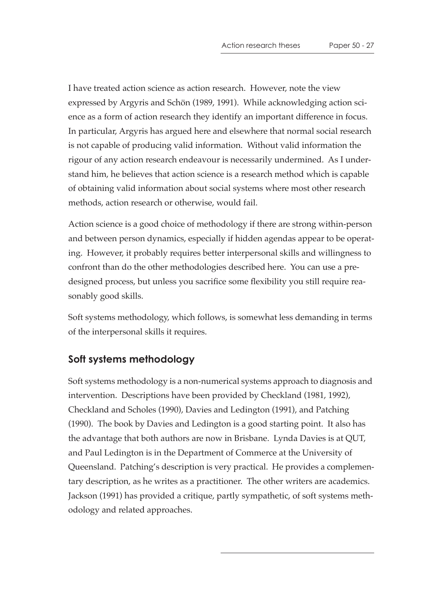I have treated action science as action research. However, note the view expressed by Argyris and Schön (1989, 1991). While acknowledging action science as a form of action research they identify an important difference in focus. In particular, Argyris has argued here and elsewhere that normal social research is not capable of producing valid information. Without valid information the rigour of any action research endeavour is necessarily undermined. As I understand him, he believes that action science is a research method which is capable of obtaining valid information about social systems where most other research methods, action research or otherwise, would fail.

Action science is a good choice of methodology if there are strong within-person and between person dynamics, especially if hidden agendas appear to be operating. However, it probably requires better interpersonal skills and willingness to confront than do the other methodologies described here. You can use a predesigned process, but unless you sacrifice some flexibility you still require reasonably good skills.

Soft systems methodology, which follows, is somewhat less demanding in terms of the interpersonal skills it requires.

### **Soft systems methodology**

Soft systems methodology is a non-numerical systems approach to diagnosis and intervention. Descriptions have been provided by Checkland (1981, 1992), Checkland and Scholes (1990), Davies and Ledington (1991), and Patching (1990). The book by Davies and Ledington is a good starting point. It also has the advantage that both authors are now in Brisbane. Lynda Davies is at QUT, and Paul Ledington is in the Department of Commerce at the University of Queensland. Patching's description is very practical. He provides a complementary description, as he writes as a practitioner. The other writers are academics. Jackson (1991) has provided a critique, partly sympathetic, of soft systems methodology and related approaches.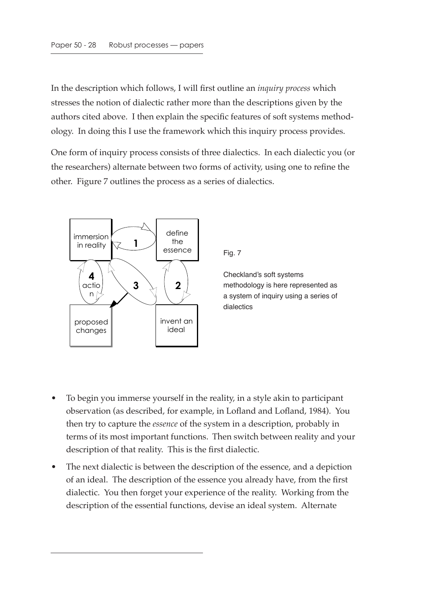In the description which follows, I will first outline an *inquiry process* which stresses the notion of dialectic rather more than the descriptions given by the authors cited above. I then explain the specific features of soft systems methodology. In doing this I use the framework which this inquiry process provides.

One form of inquiry process consists of three dialectics. In each dialectic you (or the researchers) alternate between two forms of activity, using one to refine the other. Figure 7 outlines the process as a series of dialectics.





Checkland's soft systems methodology is here represented as a system of inquiry using a series of dialectics

- To begin you immerse yourself in the reality, in a style akin to participant observation (as described, for example, in Lofland and Lofland, 1984). You then try to capture the *essence* of the system in a description, probably in terms of its most important functions. Then switch between reality and your description of that reality. This is the first dialectic.
- The next dialectic is between the description of the essence, and a depiction of an ideal. The description of the essence you already have, from the first dialectic. You then forget your experience of the reality. Working from the description of the essential functions, devise an ideal system. Alternate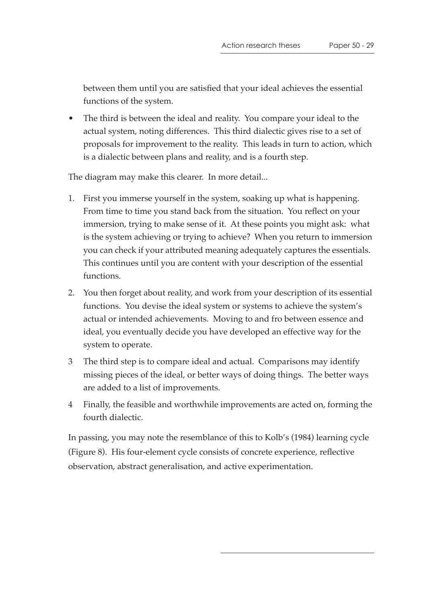between them until you are satisfied that your ideal achieves the essential functions of the system.

• The third is between the ideal and reality. You compare your ideal to the actual system, noting differences. This third dialectic gives rise to a set of proposals for improvement to the reality. This leads in turn to action, which is a dialectic between plans and reality, and is a fourth step.

The diagram may make this clearer. In more detail...

- 1. First you immerse yourself in the system, soaking up what is happening. From time to time you stand back from the situation. You reflect on your immersion, trying to make sense of it. At these points you might ask: what is the system achieving or trying to achieve? When you return to immersion you can check if your attributed meaning adequately captures the essentials. This continues until you are content with your description of the essential functions.
- 2. You then forget about reality, and work from your description of its essential functions. You devise the ideal system or systems to achieve the system's actual or intended achievements. Moving to and fro between essence and ideal, you eventually decide you have developed an effective way for the system to operate.
- 3 The third step is to compare ideal and actual. Comparisons may identify missing pieces of the ideal, or better ways of doing things. The better ways are added to a list of improvements.
- 4 Finally, the feasible and worthwhile improvements are acted on, forming the fourth dialectic.

In passing, you may note the resemblance of this to Kolb's (1984) learning cycle (Figure 8). His four-element cycle consists of concrete experience, reflective observation, abstract generalisation, and active experimentation.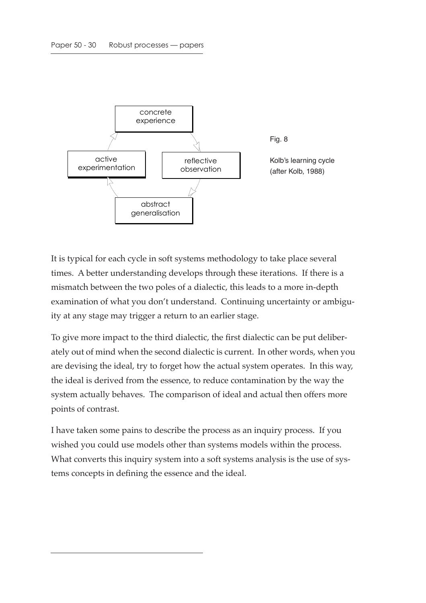

It is typical for each cycle in soft systems methodology to take place several times. A better understanding develops through these iterations. If there is a mismatch between the two poles of a dialectic, this leads to a more in-depth examination of what you don't understand. Continuing uncertainty or ambiguity at any stage may trigger a return to an earlier stage.

To give more impact to the third dialectic, the first dialectic can be put deliberately out of mind when the second dialectic is current. In other words, when you are devising the ideal, try to forget how the actual system operates. In this way, the ideal is derived from the essence, to reduce contamination by the way the system actually behaves. The comparison of ideal and actual then offers more points of contrast.

I have taken some pains to describe the process as an inquiry process. If you wished you could use models other than systems models within the process. What converts this inquiry system into a soft systems analysis is the use of systems concepts in defining the essence and the ideal.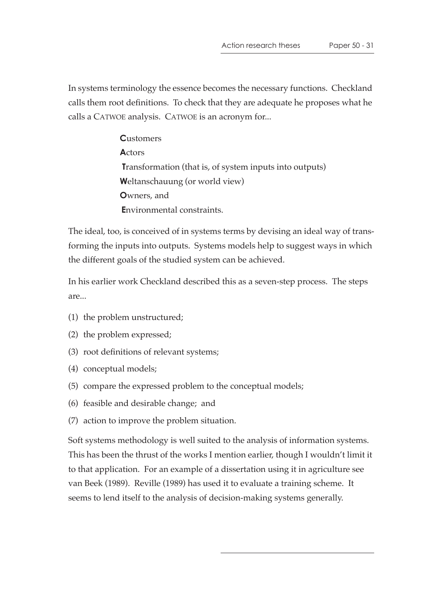In systems terminology the essence becomes the necessary functions. Checkland calls them root definitions. To check that they are adequate he proposes what he calls a CATWOE analysis. CATWOE is an acronym for...

> **C**ustomers **A**ctors  **T**ransformation (that is, of system inputs into outputs) **W**eltanschauung (or world view) **O**wners, and **E**nvironmental constraints.

The ideal, too, is conceived of in systems terms by devising an ideal way of transforming the inputs into outputs. Systems models help to suggest ways in which the different goals of the studied system can be achieved.

In his earlier work Checkland described this as a seven-step process. The steps are...

- (1) the problem unstructured;
- (2) the problem expressed;
- (3) root definitions of relevant systems;
- (4) conceptual models;
- (5) compare the expressed problem to the conceptual models;
- (6) feasible and desirable change; and
- (7) action to improve the problem situation.

Soft systems methodology is well suited to the analysis of information systems. This has been the thrust of the works I mention earlier, though I wouldn't limit it to that application. For an example of a dissertation using it in agriculture see van Beek (1989). Reville (1989) has used it to evaluate a training scheme. It seems to lend itself to the analysis of decision-making systems generally.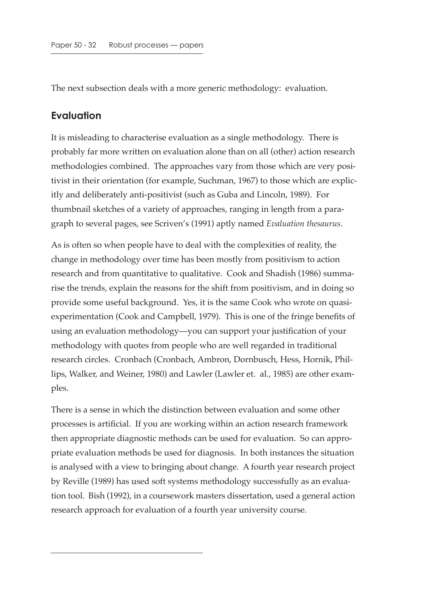The next subsection deals with a more generic methodology: evaluation.

#### **Evaluation**

It is misleading to characterise evaluation as a single methodology. There is probably far more written on evaluation alone than on all (other) action research methodologies combined. The approaches vary from those which are very positivist in their orientation (for example, Suchman, 1967) to those which are explicitly and deliberately anti-positivist (such as Guba and Lincoln, 1989). For thumbnail sketches of a variety of approaches, ranging in length from a paragraph to several pages, see Scriven's (1991) aptly named *Evaluation thesaurus*.

As is often so when people have to deal with the complexities of reality, the change in methodology over time has been mostly from positivism to action research and from quantitative to qualitative. Cook and Shadish (1986) summarise the trends, explain the reasons for the shift from positivism, and in doing so provide some useful background. Yes, it is the same Cook who wrote on quasiexperimentation (Cook and Campbell, 1979). This is one of the fringe benefits of using an evaluation methodology—you can support your justification of your methodology with quotes from people who are well regarded in traditional research circles. Cronbach (Cronbach, Ambron, Dornbusch, Hess, Hornik, Phillips, Walker, and Weiner, 1980) and Lawler (Lawler et. al., 1985) are other examples.

There is a sense in which the distinction between evaluation and some other processes is artificial. If you are working within an action research framework then appropriate diagnostic methods can be used for evaluation. So can appropriate evaluation methods be used for diagnosis. In both instances the situation is analysed with a view to bringing about change. A fourth year research project by Reville (1989) has used soft systems methodology successfully as an evaluation tool. Bish (1992), in a coursework masters dissertation, used a general action research approach for evaluation of a fourth year university course.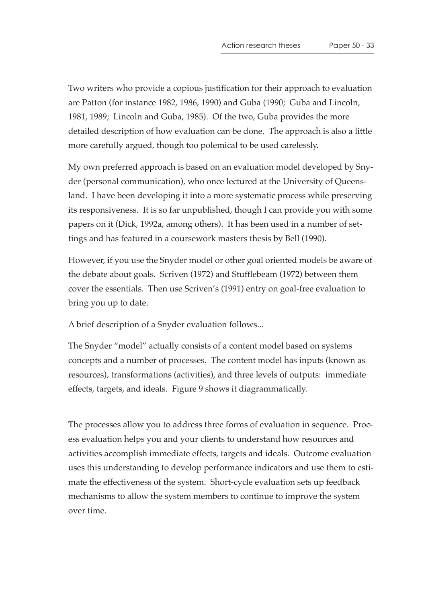Two writers who provide a copious justification for their approach to evaluation are Patton (for instance 1982, 1986, 1990) and Guba (1990; Guba and Lincoln, 1981, 1989; Lincoln and Guba, 1985). Of the two, Guba provides the more detailed description of how evaluation can be done. The approach is also a little more carefully argued, though too polemical to be used carelessly.

My own preferred approach is based on an evaluation model developed by Snyder (personal communication), who once lectured at the University of Queensland. I have been developing it into a more systematic process while preserving its responsiveness. It is so far unpublished, though I can provide you with some papers on it (Dick, 1992a, among others). It has been used in a number of settings and has featured in a coursework masters thesis by Bell (1990).

However, if you use the Snyder model or other goal oriented models be aware of the debate about goals. Scriven (1972) and Stufflebeam (1972) between them cover the essentials. Then use Scriven's (1991) entry on goal-free evaluation to bring you up to date.

A brief description of a Snyder evaluation follows...

The Snyder "model" actually consists of a content model based on systems concepts and a number of processes. The content model has inputs (known as resources), transformations (activities), and three levels of outputs: immediate effects, targets, and ideals. Figure 9 shows it diagrammatically.

The processes allow you to address three forms of evaluation in sequence. Process evaluation helps you and your clients to understand how resources and activities accomplish immediate effects, targets and ideals. Outcome evaluation uses this understanding to develop performance indicators and use them to estimate the effectiveness of the system. Short-cycle evaluation sets up feedback mechanisms to allow the system members to continue to improve the system over time.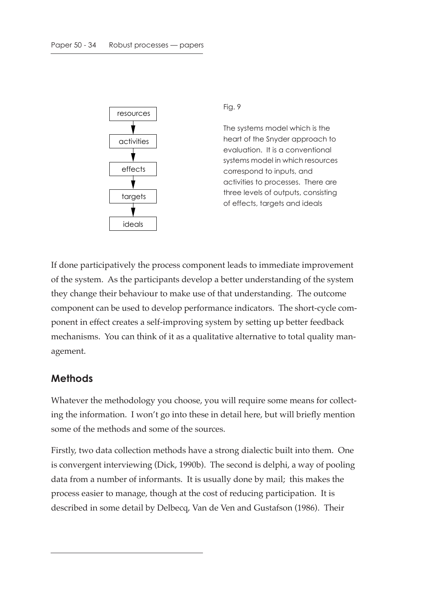

Fig. 9

The systems model which is the heart of the Snyder approach to evaluation. It is a conventional systems model in which resources correspond to inputs, and activities to processes. There are three levels of outputs, consisting of effects, targets and ideals

If done participatively the process component leads to immediate improvement of the system. As the participants develop a better understanding of the system they change their behaviour to make use of that understanding. The outcome component can be used to develop performance indicators. The short-cycle component in effect creates a self-improving system by setting up better feedback mechanisms. You can think of it as a qualitative alternative to total quality management.

#### **Methods**

Whatever the methodology you choose, you will require some means for collecting the information. I won't go into these in detail here, but will briefly mention some of the methods and some of the sources.

Firstly, two data collection methods have a strong dialectic built into them. One is convergent interviewing (Dick, 1990b). The second is delphi, a way of pooling data from a number of informants. It is usually done by mail; this makes the process easier to manage, though at the cost of reducing participation. It is described in some detail by Delbecq, Van de Ven and Gustafson (1986). Their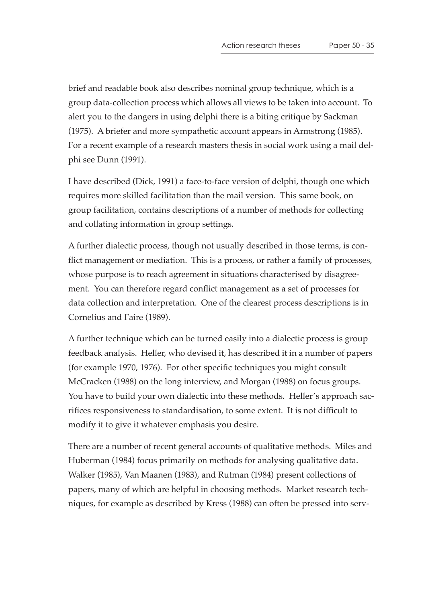brief and readable book also describes nominal group technique, which is a group data-collection process which allows all views to be taken into account. To alert you to the dangers in using delphi there is a biting critique by Sackman (1975). A briefer and more sympathetic account appears in Armstrong (1985). For a recent example of a research masters thesis in social work using a mail delphi see Dunn (1991).

I have described (Dick, 1991) a face-to-face version of delphi, though one which requires more skilled facilitation than the mail version. This same book, on group facilitation, contains descriptions of a number of methods for collecting and collating information in group settings.

A further dialectic process, though not usually described in those terms, is conflict management or mediation. This is a process, or rather a family of processes, whose purpose is to reach agreement in situations characterised by disagreement. You can therefore regard conflict management as a set of processes for data collection and interpretation. One of the clearest process descriptions is in Cornelius and Faire (1989).

A further technique which can be turned easily into a dialectic process is group feedback analysis. Heller, who devised it, has described it in a number of papers (for example 1970, 1976). For other specific techniques you might consult McCracken (1988) on the long interview, and Morgan (1988) on focus groups. You have to build your own dialectic into these methods. Heller's approach sacrifices responsiveness to standardisation, to some extent. It is not difficult to modify it to give it whatever emphasis you desire.

There are a number of recent general accounts of qualitative methods. Miles and Huberman (1984) focus primarily on methods for analysing qualitative data. Walker (1985), Van Maanen (1983), and Rutman (1984) present collections of papers, many of which are helpful in choosing methods. Market research techniques, for example as described by Kress (1988) can often be pressed into serv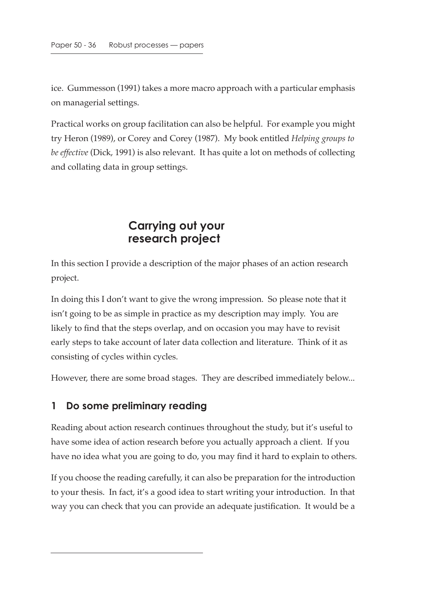ice. Gummesson (1991) takes a more macro approach with a particular emphasis on managerial settings.

Practical works on group facilitation can also be helpful. For example you might try Heron (1989), or Corey and Corey (1987). My book entitled *Helping groups to be effective* (Dick, 1991) is also relevant. It has quite a lot on methods of collecting and collating data in group settings.

# **Carrying out your research project**

In this section I provide a description of the major phases of an action research project.

In doing this I don't want to give the wrong impression. So please note that it isn't going to be as simple in practice as my description may imply. You are likely to find that the steps overlap, and on occasion you may have to revisit early steps to take account of later data collection and literature. Think of it as consisting of cycles within cycles.

However, there are some broad stages. They are described immediately below...

#### **1 Do some preliminary reading**

Reading about action research continues throughout the study, but it's useful to have some idea of action research before you actually approach a client. If you have no idea what you are going to do, you may find it hard to explain to others.

If you choose the reading carefully, it can also be preparation for the introduction to your thesis. In fact, it's a good idea to start writing your introduction. In that way you can check that you can provide an adequate justification. It would be a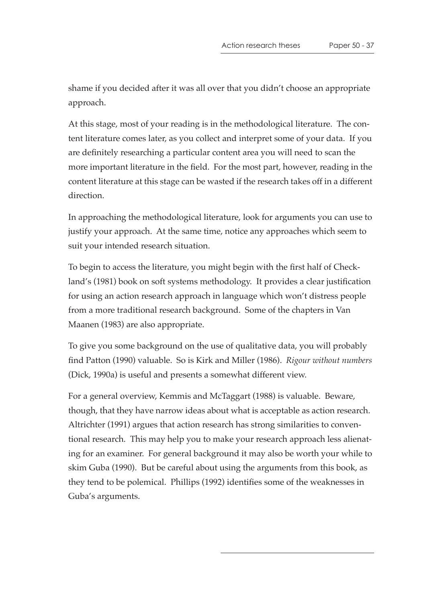shame if you decided after it was all over that you didn't choose an appropriate approach.

At this stage, most of your reading is in the methodological literature. The content literature comes later, as you collect and interpret some of your data. If you are definitely researching a particular content area you will need to scan the more important literature in the field. For the most part, however, reading in the content literature at this stage can be wasted if the research takes off in a different direction.

In approaching the methodological literature, look for arguments you can use to justify your approach. At the same time, notice any approaches which seem to suit your intended research situation.

To begin to access the literature, you might begin with the first half of Checkland's (1981) book on soft systems methodology. It provides a clear justification for using an action research approach in language which won't distress people from a more traditional research background. Some of the chapters in Van Maanen (1983) are also appropriate.

To give you some background on the use of qualitative data, you will probably find Patton (1990) valuable. So is Kirk and Miller (1986). *Rigour without numbers* (Dick, 1990a) is useful and presents a somewhat different view.

For a general overview, Kemmis and McTaggart (1988) is valuable. Beware, though, that they have narrow ideas about what is acceptable as action research. Altrichter (1991) argues that action research has strong similarities to conventional research. This may help you to make your research approach less alienating for an examiner. For general background it may also be worth your while to skim Guba (1990). But be careful about using the arguments from this book, as they tend to be polemical. Phillips (1992) identifies some of the weaknesses in Guba's arguments.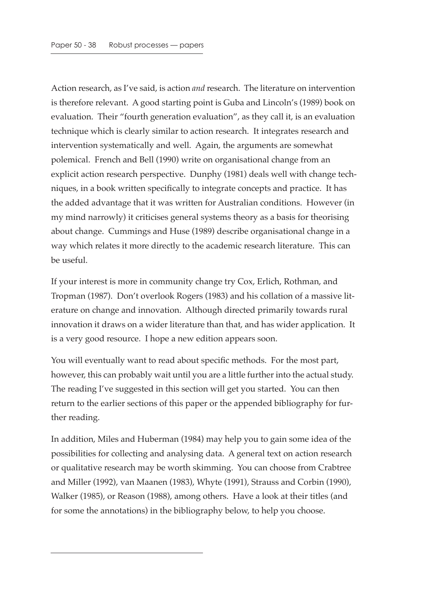Action research, as I've said, is action *and* research. The literature on intervention is therefore relevant. A good starting point is Guba and Lincoln's (1989) book on evaluation. Their "fourth generation evaluation", as they call it, is an evaluation technique which is clearly similar to action research. It integrates research and intervention systematically and well. Again, the arguments are somewhat polemical. French and Bell (1990) write on organisational change from an explicit action research perspective. Dunphy (1981) deals well with change techniques, in a book written specifically to integrate concepts and practice. It has the added advantage that it was written for Australian conditions. However (in my mind narrowly) it criticises general systems theory as a basis for theorising about change. Cummings and Huse (1989) describe organisational change in a way which relates it more directly to the academic research literature. This can be useful.

If your interest is more in community change try Cox, Erlich, Rothman, and Tropman (1987). Don't overlook Rogers (1983) and his collation of a massive literature on change and innovation. Although directed primarily towards rural innovation it draws on a wider literature than that, and has wider application. It is a very good resource. I hope a new edition appears soon.

You will eventually want to read about specific methods. For the most part, however, this can probably wait until you are a little further into the actual study. The reading I've suggested in this section will get you started. You can then return to the earlier sections of this paper or the appended bibliography for further reading.

In addition, Miles and Huberman (1984) may help you to gain some idea of the possibilities for collecting and analysing data. A general text on action research or qualitative research may be worth skimming. You can choose from Crabtree and Miller (1992), van Maanen (1983), Whyte (1991), Strauss and Corbin (1990), Walker (1985), or Reason (1988), among others. Have a look at their titles (and for some the annotations) in the bibliography below, to help you choose.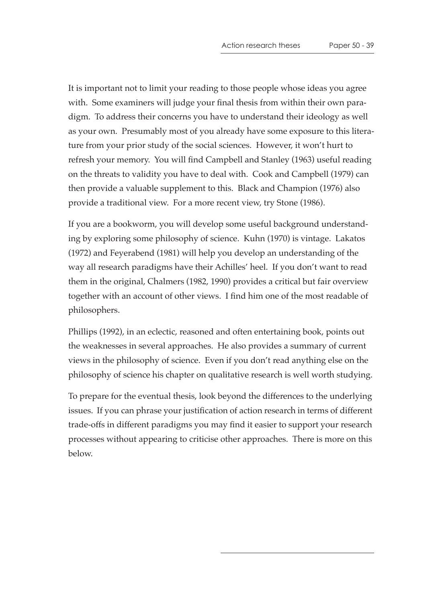It is important not to limit your reading to those people whose ideas you agree with. Some examiners will judge your final thesis from within their own paradigm. To address their concerns you have to understand their ideology as well as your own. Presumably most of you already have some exposure to this literature from your prior study of the social sciences. However, it won't hurt to refresh your memory. You will find Campbell and Stanley (1963) useful reading on the threats to validity you have to deal with. Cook and Campbell (1979) can then provide a valuable supplement to this. Black and Champion (1976) also provide a traditional view. For a more recent view, try Stone (1986).

If you are a bookworm, you will develop some useful background understanding by exploring some philosophy of science. Kuhn (1970) is vintage. Lakatos (1972) and Feyerabend (1981) will help you develop an understanding of the way all research paradigms have their Achilles' heel. If you don't want to read them in the original, Chalmers (1982, 1990) provides a critical but fair overview together with an account of other views. I find him one of the most readable of philosophers.

Phillips (1992), in an eclectic, reasoned and often entertaining book, points out the weaknesses in several approaches. He also provides a summary of current views in the philosophy of science. Even if you don't read anything else on the philosophy of science his chapter on qualitative research is well worth studying.

To prepare for the eventual thesis, look beyond the differences to the underlying issues. If you can phrase your justification of action research in terms of different trade-offs in different paradigms you may find it easier to support your research processes without appearing to criticise other approaches. There is more on this below.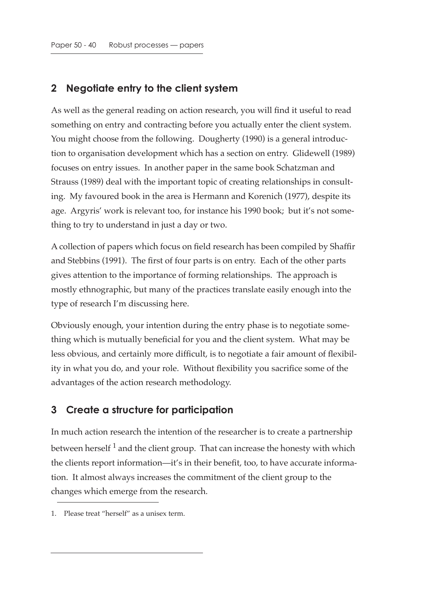### **2 Negotiate entry to the client system**

As well as the general reading on action research, you will find it useful to read something on entry and contracting before you actually enter the client system. You might choose from the following. Dougherty (1990) is a general introduction to organisation development which has a section on entry. Glidewell (1989) focuses on entry issues. In another paper in the same book Schatzman and Strauss (1989) deal with the important topic of creating relationships in consulting. My favoured book in the area is Hermann and Korenich (1977), despite its age. Argyris' work is relevant too, for instance his 1990 book; but it's not something to try to understand in just a day or two.

A collection of papers which focus on field research has been compiled by Shaffir and Stebbins (1991). The first of four parts is on entry. Each of the other parts gives attention to the importance of forming relationships. The approach is mostly ethnographic, but many of the practices translate easily enough into the type of research I'm discussing here.

Obviously enough, your intention during the entry phase is to negotiate something which is mutually beneficial for you and the client system. What may be less obvious, and certainly more difficult, is to negotiate a fair amount of flexibility in what you do, and your role. Without flexibility you sacrifice some of the advantages of the action research methodology.

### **3 Create a structure for participation**

In much action research the intention of the researcher is to create a partnership between herself<sup>1</sup> and the client group. That can increase the honesty with which the clients report information—it's in their benefit, too, to have accurate information. It almost always increases the commitment of the client group to the changes which emerge from the research.

<sup>1.</sup> Please treat "herself" as a unisex term.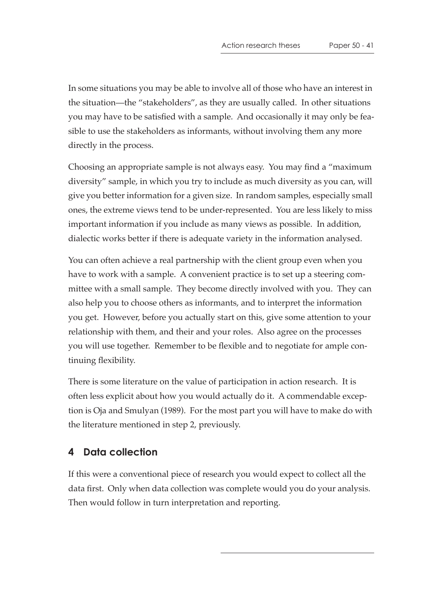In some situations you may be able to involve all of those who have an interest in the situation—the "stakeholders", as they are usually called. In other situations you may have to be satisfied with a sample. And occasionally it may only be feasible to use the stakeholders as informants, without involving them any more directly in the process.

Choosing an appropriate sample is not always easy. You may find a "maximum diversity" sample, in which you try to include as much diversity as you can, will give you better information for a given size. In random samples, especially small ones, the extreme views tend to be under-represented. You are less likely to miss important information if you include as many views as possible. In addition, dialectic works better if there is adequate variety in the information analysed.

You can often achieve a real partnership with the client group even when you have to work with a sample. A convenient practice is to set up a steering committee with a small sample. They become directly involved with you. They can also help you to choose others as informants, and to interpret the information you get. However, before you actually start on this, give some attention to your relationship with them, and their and your roles. Also agree on the processes you will use together. Remember to be flexible and to negotiate for ample continuing flexibility.

There is some literature on the value of participation in action research. It is often less explicit about how you would actually do it. A commendable exception is Oja and Smulyan (1989). For the most part you will have to make do with the literature mentioned in step 2, previously.

### **4 Data collection**

If this were a conventional piece of research you would expect to collect all the data first. Only when data collection was complete would you do your analysis. Then would follow in turn interpretation and reporting.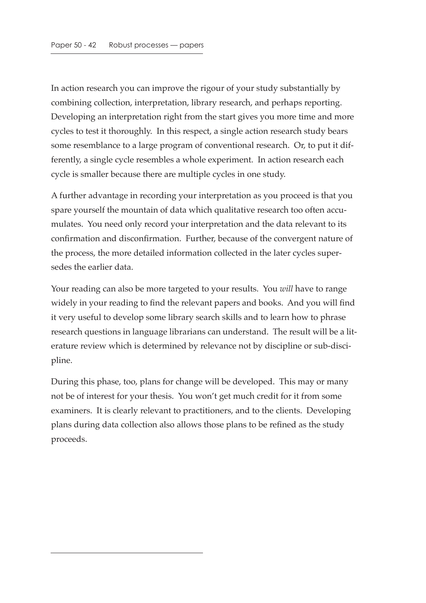In action research you can improve the rigour of your study substantially by combining collection, interpretation, library research, and perhaps reporting. Developing an interpretation right from the start gives you more time and more cycles to test it thoroughly. In this respect, a single action research study bears some resemblance to a large program of conventional research. Or, to put it differently, a single cycle resembles a whole experiment. In action research each cycle is smaller because there are multiple cycles in one study.

A further advantage in recording your interpretation as you proceed is that you spare yourself the mountain of data which qualitative research too often accumulates. You need only record your interpretation and the data relevant to its confirmation and disconfirmation. Further, because of the convergent nature of the process, the more detailed information collected in the later cycles supersedes the earlier data.

Your reading can also be more targeted to your results. You *will* have to range widely in your reading to find the relevant papers and books. And you will find it very useful to develop some library search skills and to learn how to phrase research questions in language librarians can understand. The result will be a literature review which is determined by relevance not by discipline or sub-discipline.

During this phase, too, plans for change will be developed. This may or many not be of interest for your thesis. You won't get much credit for it from some examiners. It is clearly relevant to practitioners, and to the clients. Developing plans during data collection also allows those plans to be refined as the study proceeds.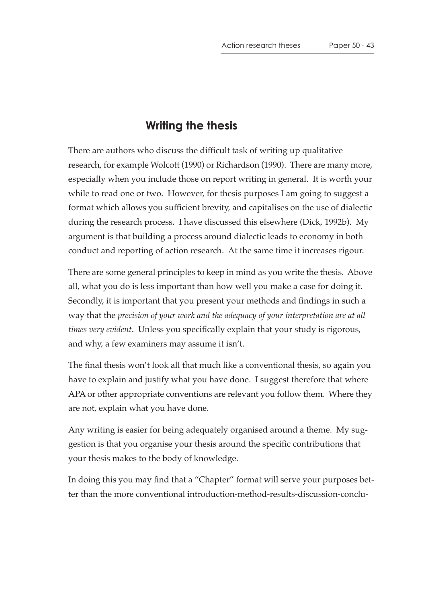# **Writing the thesis**

There are authors who discuss the difficult task of writing up qualitative research, for example Wolcott (1990) or Richardson (1990). There are many more, especially when you include those on report writing in general. It is worth your while to read one or two. However, for thesis purposes I am going to suggest a format which allows you sufficient brevity, and capitalises on the use of dialectic during the research process. I have discussed this elsewhere (Dick, 1992b). My argument is that building a process around dialectic leads to economy in both conduct and reporting of action research. At the same time it increases rigour.

There are some general principles to keep in mind as you write the thesis. Above all, what you do is less important than how well you make a case for doing it. Secondly, it is important that you present your methods and findings in such a way that the *precision of your work and the adequacy of your interpretation are at all times very evident*. Unless you specifically explain that your study is rigorous, and why, a few examiners may assume it isn't.

The final thesis won't look all that much like a conventional thesis, so again you have to explain and justify what you have done. I suggest therefore that where APA or other appropriate conventions are relevant you follow them. Where they are not, explain what you have done.

Any writing is easier for being adequately organised around a theme. My suggestion is that you organise your thesis around the specific contributions that your thesis makes to the body of knowledge.

In doing this you may find that a "Chapter" format will serve your purposes better than the more conventional introduction-method-results-discussion-conclu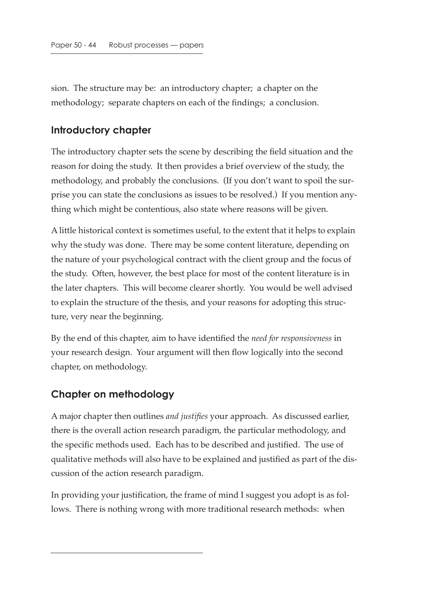sion. The structure may be: an introductory chapter; a chapter on the methodology; separate chapters on each of the findings; a conclusion.

### **Introductory chapter**

The introductory chapter sets the scene by describing the field situation and the reason for doing the study. It then provides a brief overview of the study, the methodology, and probably the conclusions. (If you don't want to spoil the surprise you can state the conclusions as issues to be resolved.) If you mention anything which might be contentious, also state where reasons will be given.

A little historical context is sometimes useful, to the extent that it helps to explain why the study was done. There may be some content literature, depending on the nature of your psychological contract with the client group and the focus of the study. Often, however, the best place for most of the content literature is in the later chapters. This will become clearer shortly. You would be well advised to explain the structure of the thesis, and your reasons for adopting this structure, very near the beginning.

By the end of this chapter, aim to have identified the *need for responsiveness* in your research design. Your argument will then flow logically into the second chapter, on methodology.

### **Chapter on methodology**

A major chapter then outlines *and justifies* your approach. As discussed earlier, there is the overall action research paradigm, the particular methodology, and the specific methods used. Each has to be described and justified. The use of qualitative methods will also have to be explained and justified as part of the discussion of the action research paradigm.

In providing your justification, the frame of mind I suggest you adopt is as follows. There is nothing wrong with more traditional research methods: when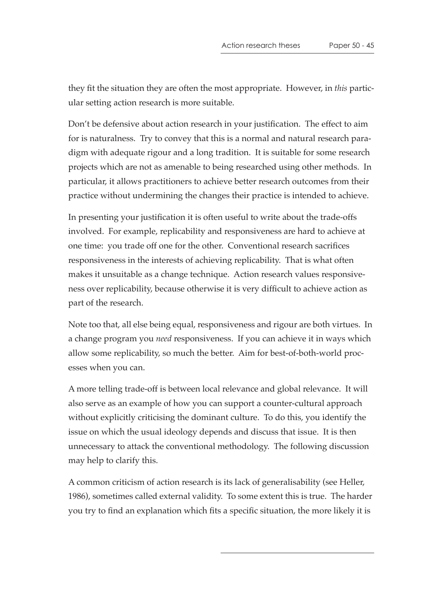they fit the situation they are often the most appropriate. However, in *this* particular setting action research is more suitable.

Don't be defensive about action research in your justification. The effect to aim for is naturalness. Try to convey that this is a normal and natural research paradigm with adequate rigour and a long tradition. It is suitable for some research projects which are not as amenable to being researched using other methods. In particular, it allows practitioners to achieve better research outcomes from their practice without undermining the changes their practice is intended to achieve.

In presenting your justification it is often useful to write about the trade-offs involved. For example, replicability and responsiveness are hard to achieve at one time: you trade off one for the other. Conventional research sacrifices responsiveness in the interests of achieving replicability. That is what often makes it unsuitable as a change technique. Action research values responsiveness over replicability, because otherwise it is very difficult to achieve action as part of the research.

Note too that, all else being equal, responsiveness and rigour are both virtues. In a change program you *need* responsiveness. If you can achieve it in ways which allow some replicability, so much the better. Aim for best-of-both-world processes when you can.

A more telling trade-off is between local relevance and global relevance. It will also serve as an example of how you can support a counter-cultural approach without explicitly criticising the dominant culture. To do this, you identify the issue on which the usual ideology depends and discuss that issue. It is then unnecessary to attack the conventional methodology. The following discussion may help to clarify this.

A common criticism of action research is its lack of generalisability (see Heller, 1986), sometimes called external validity. To some extent this is true. The harder you try to find an explanation which fits a specific situation, the more likely it is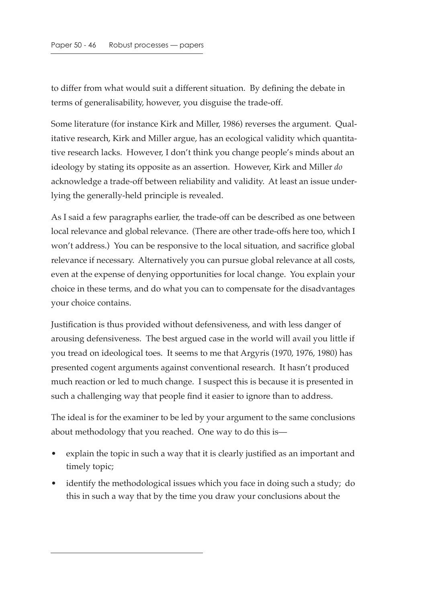to differ from what would suit a different situation. By defining the debate in terms of generalisability, however, you disguise the trade-off.

Some literature (for instance Kirk and Miller, 1986) reverses the argument. Qualitative research, Kirk and Miller argue, has an ecological validity which quantitative research lacks. However, I don't think you change people's minds about an ideology by stating its opposite as an assertion. However, Kirk and Miller *do* acknowledge a trade-off between reliability and validity. At least an issue underlying the generally-held principle is revealed.

As I said a few paragraphs earlier, the trade-off can be described as one between local relevance and global relevance. (There are other trade-offs here too, which I won't address.) You can be responsive to the local situation, and sacrifice global relevance if necessary. Alternatively you can pursue global relevance at all costs, even at the expense of denying opportunities for local change. You explain your choice in these terms, and do what you can to compensate for the disadvantages your choice contains.

Justification is thus provided without defensiveness, and with less danger of arousing defensiveness. The best argued case in the world will avail you little if you tread on ideological toes. It seems to me that Argyris (1970, 1976, 1980) has presented cogent arguments against conventional research. It hasn't produced much reaction or led to much change. I suspect this is because it is presented in such a challenging way that people find it easier to ignore than to address.

The ideal is for the examiner to be led by your argument to the same conclusions about methodology that you reached. One way to do this is—

- explain the topic in such a way that it is clearly justified as an important and timely topic;
- identify the methodological issues which you face in doing such a study; do this in such a way that by the time you draw your conclusions about the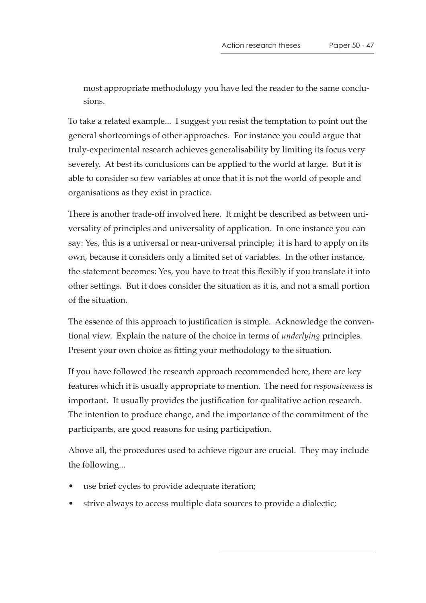most appropriate methodology you have led the reader to the same conclusions.

To take a related example... I suggest you resist the temptation to point out the general shortcomings of other approaches. For instance you could argue that truly-experimental research achieves generalisability by limiting its focus very severely. At best its conclusions can be applied to the world at large. But it is able to consider so few variables at once that it is not the world of people and organisations as they exist in practice.

There is another trade-off involved here. It might be described as between universality of principles and universality of application. In one instance you can say: Yes, this is a universal or near-universal principle; it is hard to apply on its own, because it considers only a limited set of variables. In the other instance, the statement becomes: Yes, you have to treat this flexibly if you translate it into other settings. But it does consider the situation as it is, and not a small portion of the situation.

The essence of this approach to justification is simple. Acknowledge the conventional view. Explain the nature of the choice in terms of *underlying* principles. Present your own choice as fitting your methodology to the situation.

If you have followed the research approach recommended here, there are key features which it is usually appropriate to mention. The need for *responsiveness* is important. It usually provides the justification for qualitative action research. The intention to produce change, and the importance of the commitment of the participants, are good reasons for using participation.

Above all, the procedures used to achieve rigour are crucial. They may include the following...

- use brief cycles to provide adequate iteration;
- strive always to access multiple data sources to provide a dialectic;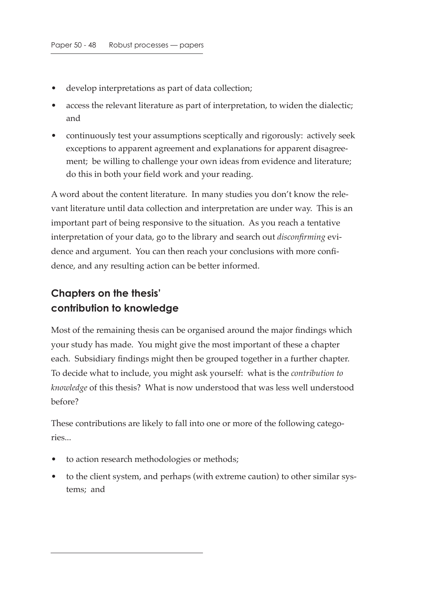- develop interpretations as part of data collection;
- access the relevant literature as part of interpretation, to widen the dialectic; and
- continuously test your assumptions sceptically and rigorously: actively seek exceptions to apparent agreement and explanations for apparent disagreement; be willing to challenge your own ideas from evidence and literature; do this in both your field work and your reading.

A word about the content literature. In many studies you don't know the relevant literature until data collection and interpretation are under way. This is an important part of being responsive to the situation. As you reach a tentative interpretation of your data, go to the library and search out *disconfirming* evidence and argument. You can then reach your conclusions with more confidence, and any resulting action can be better informed.

## **Chapters on the thesis' contribution to knowledge**

Most of the remaining thesis can be organised around the major findings which your study has made. You might give the most important of these a chapter each. Subsidiary findings might then be grouped together in a further chapter. To decide what to include, you might ask yourself: what is the *contribution to knowledge* of this thesis? What is now understood that was less well understood before?

These contributions are likely to fall into one or more of the following categories...

- to action research methodologies or methods;
- to the client system, and perhaps (with extreme caution) to other similar systems; and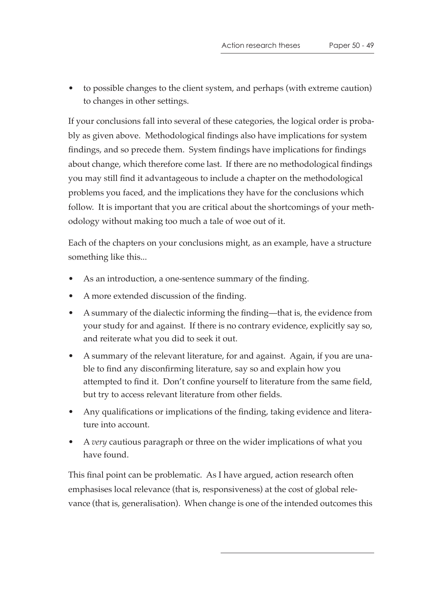• to possible changes to the client system, and perhaps (with extreme caution) to changes in other settings.

If your conclusions fall into several of these categories, the logical order is probably as given above. Methodological findings also have implications for system findings, and so precede them. System findings have implications for findings about change, which therefore come last. If there are no methodological findings you may still find it advantageous to include a chapter on the methodological problems you faced, and the implications they have for the conclusions which follow. It is important that you are critical about the shortcomings of your methodology without making too much a tale of woe out of it.

Each of the chapters on your conclusions might, as an example, have a structure something like this...

- As an introduction, a one-sentence summary of the finding.
- A more extended discussion of the finding.
- A summary of the dialectic informing the finding—that is, the evidence from your study for and against. If there is no contrary evidence, explicitly say so, and reiterate what you did to seek it out.
- A summary of the relevant literature, for and against. Again, if you are unable to find any disconfirming literature, say so and explain how you attempted to find it. Don't confine yourself to literature from the same field, but try to access relevant literature from other fields.
- Any qualifications or implications of the finding, taking evidence and literature into account.
- A *very* cautious paragraph or three on the wider implications of what you have found.

This final point can be problematic. As I have argued, action research often emphasises local relevance (that is, responsiveness) at the cost of global relevance (that is, generalisation). When change is one of the intended outcomes this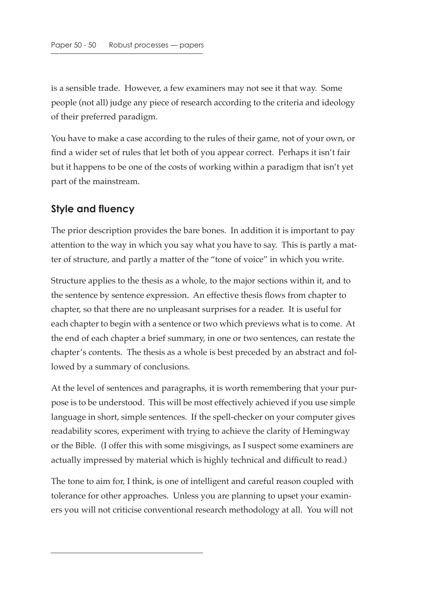is a sensible trade. However, a few examiners may not see it that way. Some people (not all) judge any piece of research according to the criteria and ideology of their preferred paradigm.

You have to make a case according to the rules of their game, not of your own, or find a wider set of rules that let both of you appear correct. Perhaps it isn't fair but it happens to be one of the costs of working within a paradigm that isn't yet part of the mainstream.

### **Style and fluency**

The prior description provides the bare bones. In addition it is important to pay attention to the way in which you say what you have to say. This is partly a matter of structure, and partly a matter of the "tone of voice" in which you write.

Structure applies to the thesis as a whole, to the major sections within it, and to the sentence by sentence expression. An effective thesis flows from chapter to chapter, so that there are no unpleasant surprises for a reader. It is useful for each chapter to begin with a sentence or two which previews what is to come. At the end of each chapter a brief summary, in one or two sentences, can restate the chapter's contents. The thesis as a whole is best preceded by an abstract and followed by a summary of conclusions.

At the level of sentences and paragraphs, it is worth remembering that your purpose is to be understood. This will be most effectively achieved if you use simple language in short, simple sentences. If the spell-checker on your computer gives readability scores, experiment with trying to achieve the clarity of Hemingway or the Bible. (I offer this with some misgivings, as I suspect some examiners are actually impressed by material which is highly technical and difficult to read.)

The tone to aim for, I think, is one of intelligent and careful reason coupled with tolerance for other approaches. Unless you are planning to upset your examiners you will not criticise conventional research methodology at all. You will not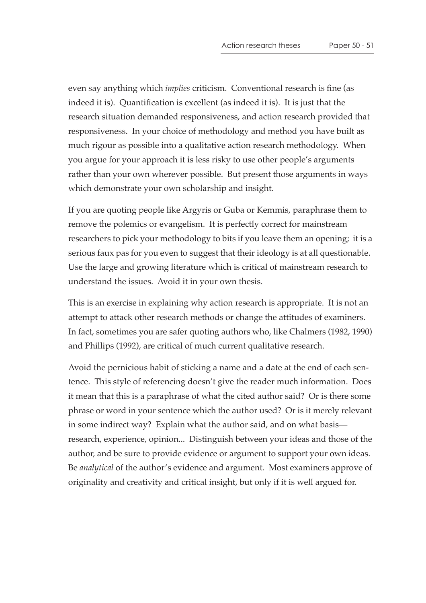even say anything which *implies* criticism. Conventional research is fine (as indeed it is). Quantification is excellent (as indeed it is). It is just that the research situation demanded responsiveness, and action research provided that responsiveness. In your choice of methodology and method you have built as much rigour as possible into a qualitative action research methodology. When you argue for your approach it is less risky to use other people's arguments rather than your own wherever possible. But present those arguments in ways which demonstrate your own scholarship and insight.

If you are quoting people like Argyris or Guba or Kemmis, paraphrase them to remove the polemics or evangelism. It is perfectly correct for mainstream researchers to pick your methodology to bits if you leave them an opening; it is a serious faux pas for you even to suggest that their ideology is at all questionable. Use the large and growing literature which is critical of mainstream research to understand the issues. Avoid it in your own thesis.

This is an exercise in explaining why action research is appropriate. It is not an attempt to attack other research methods or change the attitudes of examiners. In fact, sometimes you are safer quoting authors who, like Chalmers (1982, 1990) and Phillips (1992), are critical of much current qualitative research.

Avoid the pernicious habit of sticking a name and a date at the end of each sentence. This style of referencing doesn't give the reader much information. Does it mean that this is a paraphrase of what the cited author said? Or is there some phrase or word in your sentence which the author used? Or is it merely relevant in some indirect way? Explain what the author said, and on what basis research, experience, opinion... Distinguish between your ideas and those of the author, and be sure to provide evidence or argument to support your own ideas. Be *analytical* of the author's evidence and argument. Most examiners approve of originality and creativity and critical insight, but only if it is well argued for.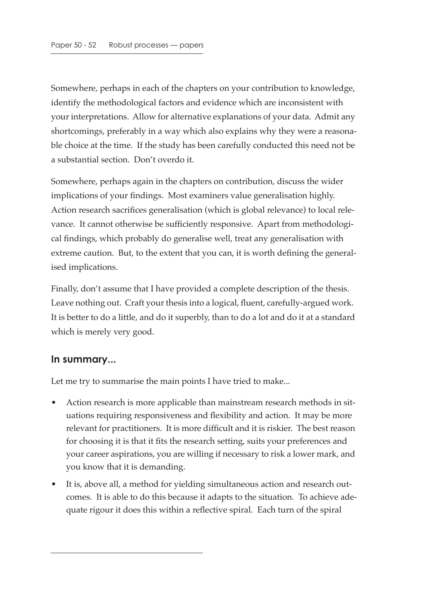Somewhere, perhaps in each of the chapters on your contribution to knowledge, identify the methodological factors and evidence which are inconsistent with your interpretations. Allow for alternative explanations of your data. Admit any shortcomings, preferably in a way which also explains why they were a reasonable choice at the time. If the study has been carefully conducted this need not be a substantial section. Don't overdo it.

Somewhere, perhaps again in the chapters on contribution, discuss the wider implications of your findings. Most examiners value generalisation highly. Action research sacrifices generalisation (which is global relevance) to local relevance. It cannot otherwise be sufficiently responsive. Apart from methodological findings, which probably do generalise well, treat any generalisation with extreme caution. But, to the extent that you can, it is worth defining the generalised implications.

Finally, don't assume that I have provided a complete description of the thesis. Leave nothing out. Craft your thesis into a logical, fluent, carefully-argued work. It is better to do a little, and do it superbly, than to do a lot and do it at a standard which is merely very good.

#### **In summary...**

Let me try to summarise the main points I have tried to make...

- Action research is more applicable than mainstream research methods in situations requiring responsiveness and flexibility and action. It may be more relevant for practitioners. It is more difficult and it is riskier. The best reason for choosing it is that it fits the research setting, suits your preferences and your career aspirations, you are willing if necessary to risk a lower mark, and you know that it is demanding.
- It is, above all, a method for yielding simultaneous action and research outcomes. It is able to do this because it adapts to the situation. To achieve adequate rigour it does this within a reflective spiral. Each turn of the spiral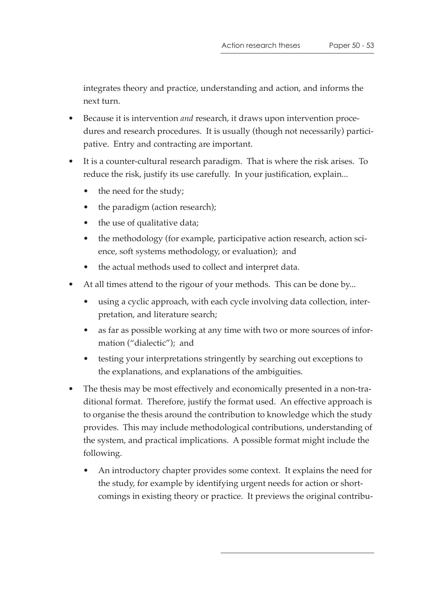integrates theory and practice, understanding and action, and informs the next turn.

- Because it is intervention *and* research, it draws upon intervention procedures and research procedures. It is usually (though not necessarily) participative. Entry and contracting are important.
- It is a counter-cultural research paradigm. That is where the risk arises. To reduce the risk, justify its use carefully. In your justification, explain...
	- the need for the study;
	- the paradigm (action research);
	- the use of qualitative data;
	- the methodology (for example, participative action research, action science, soft systems methodology, or evaluation); and
	- the actual methods used to collect and interpret data.
- At all times attend to the rigour of your methods. This can be done by...
	- using a cyclic approach, with each cycle involving data collection, interpretation, and literature search;
	- as far as possible working at any time with two or more sources of information ("dialectic"); and
	- testing your interpretations stringently by searching out exceptions to the explanations, and explanations of the ambiguities.
- The thesis may be most effectively and economically presented in a non-traditional format. Therefore, justify the format used. An effective approach is to organise the thesis around the contribution to knowledge which the study provides. This may include methodological contributions, understanding of the system, and practical implications. A possible format might include the following.
	- An introductory chapter provides some context. It explains the need for the study, for example by identifying urgent needs for action or shortcomings in existing theory or practice. It previews the original contribu-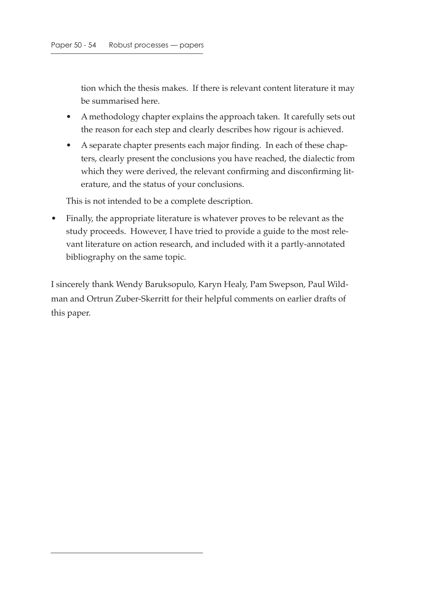tion which the thesis makes. If there is relevant content literature it may be summarised here.

- A methodology chapter explains the approach taken. It carefully sets out the reason for each step and clearly describes how rigour is achieved.
- A separate chapter presents each major finding. In each of these chapters, clearly present the conclusions you have reached, the dialectic from which they were derived, the relevant confirming and disconfirming literature, and the status of your conclusions.

This is not intended to be a complete description.

• Finally, the appropriate literature is whatever proves to be relevant as the study proceeds. However, I have tried to provide a guide to the most relevant literature on action research, and included with it a partly-annotated bibliography on the same topic.

I sincerely thank Wendy Baruksopulo, Karyn Healy, Pam Swepson, Paul Wildman and Ortrun Zuber-Skerritt for their helpful comments on earlier drafts of this paper.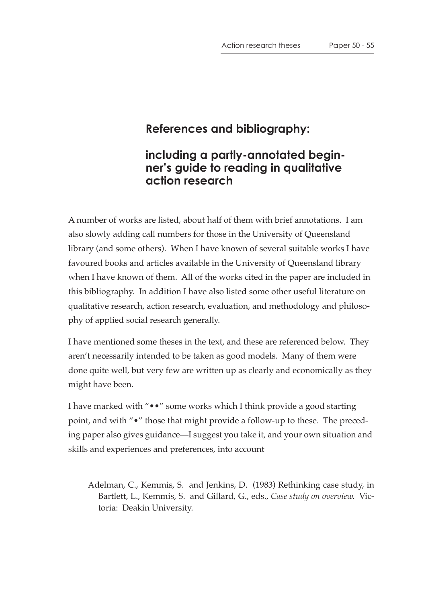## **References and bibliography:**

## **including a partly-annotated beginner's guide to reading in qualitative action research**

A number of works are listed, about half of them with brief annotations. I am also slowly adding call numbers for those in the University of Queensland library (and some others). When I have known of several suitable works I have favoured books and articles available in the University of Queensland library when I have known of them. All of the works cited in the paper are included in this bibliography. In addition I have also listed some other useful literature on qualitative research, action research, evaluation, and methodology and philosophy of applied social research generally.

I have mentioned some theses in the text, and these are referenced below. They aren't necessarily intended to be taken as good models. Many of them were done quite well, but very few are written up as clearly and economically as they might have been.

I have marked with "••" some works which I think provide a good starting point, and with "•" those that might provide a follow-up to these. The preceding paper also gives guidance—I suggest you take it, and your own situation and skills and experiences and preferences, into account

Adelman, C., Kemmis, S. and Jenkins, D. (1983) Rethinking case study, in Bartlett, L., Kemmis, S. and Gillard, G., eds., *Case study on overview*. Victoria: Deakin University.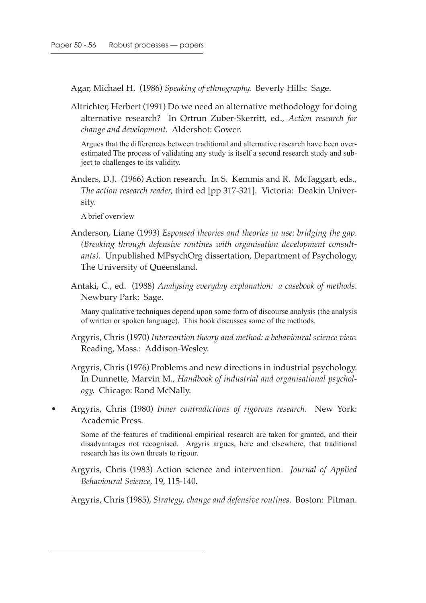Agar, Michael H. (1986) *Speaking of ethnography*. Beverly Hills: Sage.

Altrichter, Herbert (1991) Do we need an alternative methodology for doing alternative research? In Ortrun Zuber-Skerritt, ed., *Action research for change and development*. Aldershot: Gower.

Argues that the differences between traditional and alternative research have been overestimated The process of validating any study is itself a second research study and subject to challenges to its validity.

Anders, D.J. (1966) Action research. In S. Kemmis and R. McTaggart, eds., *The action research reader*, third ed [pp 317-321]. Victoria: Deakin University.

A brief overview

- Anderson, Liane (1993) *Espoused theories and theories in use: bridging the gap. (Breaking through defensive routines with organisation development consultants).* Unpublished MPsychOrg dissertation, Department of Psychology, The University of Queensland.
- Antaki, C., ed. (1988) *Analysing everyday explanation: a casebook of methods*. Newbury Park: Sage.

Many qualitative techniques depend upon some form of discourse analysis (the analysis of written or spoken language). This book discusses some of the methods.

- Argyris, Chris (1970) *Intervention theory and method: a behavioural science view*. Reading, Mass.: Addison-Wesley.
- Argyris, Chris (1976) Problems and new directions in industrial psychology. In Dunnette, Marvin M., *Handbook of industrial and organisational psychology*. Chicago: Rand McNally.
- Argyris, Chris (1980) *Inner contradictions of rigorous research*. New York: Academic Press.

Some of the features of traditional empirical research are taken for granted, and their disadvantages not recognised. Argyris argues, here and elsewhere, that traditional research has its own threats to rigour.

Argyris, Chris (1983) Action science and intervention. *Journal of Applied Behavioural Science*, 19, 115-140.

Argyris, Chris (1985), *Strategy, change and defensive routines*. Boston: Pitman.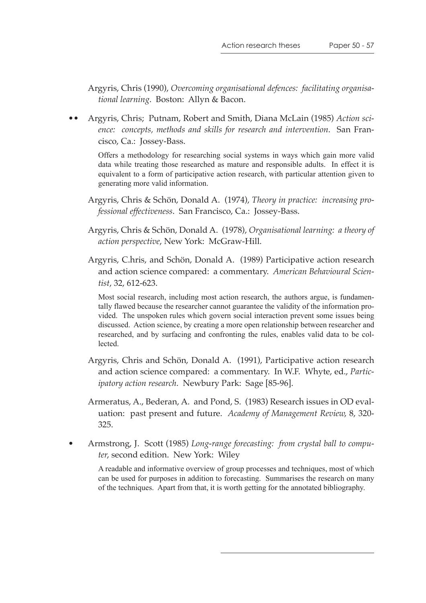- Argyris, Chris (1990), *Overcoming organisational defences: facilitating organisational learning*. Boston: Allyn & Bacon.
- •• Argyris, Chris; Putnam, Robert and Smith, Diana McLain (1985) *Action science: concepts, methods and skills for research and intervention*. San Francisco, Ca.: Jossey-Bass.

Offers a methodology for researching social systems in ways which gain more valid data while treating those researched as mature and responsible adults. In effect it is equivalent to a form of participative action research, with particular attention given to generating more valid information.

- Argyris, Chris & Schön, Donald A. (1974), *Theory in practice: increasing professional effectiveness*. San Francisco, Ca.: Jossey-Bass.
- Argyris, Chris & Schön, Donald A. (1978), *Organisational learning: a theory of action perspective*, New York: McGraw-Hill.
- Argyris, C.hris, and Schön, Donald A. (1989) Participative action research and action science compared: a commentary. *American Behavioural Scientist*, 32, 612-623.

Most social research, including most action research, the authors argue, is fundamentally flawed because the researcher cannot guarantee the validity of the information provided. The unspoken rules which govern social interaction prevent some issues being discussed. Action science, by creating a more open relationship between researcher and researched, and by surfacing and confronting the rules, enables valid data to be collected.

- Argyris, Chris and Schön, Donald A. (1991), Participative action research and action science compared: a commentary. In W.F. Whyte, ed., *Participatory action research*. Newbury Park: Sage [85-96].
- Armeratus, A., Bederan, A. and Pond, S. (1983) Research issues in OD evaluation: past present and future. *Academy of Management Review*, 8, 320- 325.
- Armstrong, J. Scott (1985) *Long-range forecasting: from crystal ball to computer*, second edition. New York: Wiley

A readable and informative overview of group processes and techniques, most of which can be used for purposes in addition to forecasting. Summarises the research on many of the techniques. Apart from that, it is worth getting for the annotated bibliography.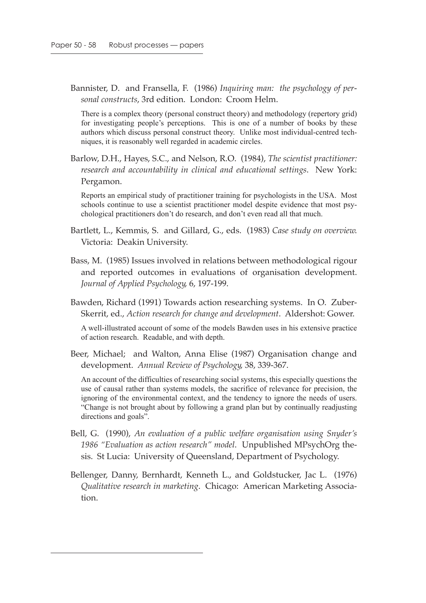Bannister, D. and Fransella, F. (1986) *Inquiring man: the psychology of personal constructs*, 3rd edition. London: Croom Helm.

There is a complex theory (personal construct theory) and methodology (repertory grid) for investigating people's perceptions. This is one of a number of books by these authors which discuss personal construct theory. Unlike most individual-centred techniques, it is reasonably well regarded in academic circles.

Barlow, D.H., Hayes, S.C., and Nelson, R.O. (1984), *The scientist practitioner: research and accountability in clinical and educational settings*. New York: Pergamon.

Reports an empirical study of practitioner training for psychologists in the USA. Most schools continue to use a scientist practitioner model despite evidence that most psychological practitioners don't do research, and don't even read all that much.

- Bartlett, L., Kemmis, S. and Gillard, G., eds. (1983) *Case study on overview*. Victoria: Deakin University.
- Bass, M. (1985) Issues involved in relations between methodological rigour and reported outcomes in evaluations of organisation development. *Journal of Applied Psychology*, 6, 197-199.
- Bawden, Richard (1991) Towards action researching systems. In O. Zuber-Skerrit, ed., *Action research for change and development*. Aldershot: Gower.

A well-illustrated account of some of the models Bawden uses in his extensive practice of action research. Readable, and with depth.

Beer, Michael; and Walton, Anna Elise (1987) Organisation change and development. *Annual Review of Psychology*, 38, 339-367.

An account of the difficulties of researching social systems, this especially questions the use of causal rather than systems models, the sacrifice of relevance for precision, the ignoring of the environmental context, and the tendency to ignore the needs of users. "Change is not brought about by following a grand plan but by continually readjusting directions and goals".

- Bell, G. (1990), *An evaluation of a public welfare organisation using Snyder's 1986 "Evaluation as action research" model*. Unpublished MPsychOrg thesis. St Lucia: University of Queensland, Department of Psychology.
- Bellenger, Danny, Bernhardt, Kenneth L., and Goldstucker, Jac L. (1976) *Qualitative research in marketing*. Chicago: American Marketing Association.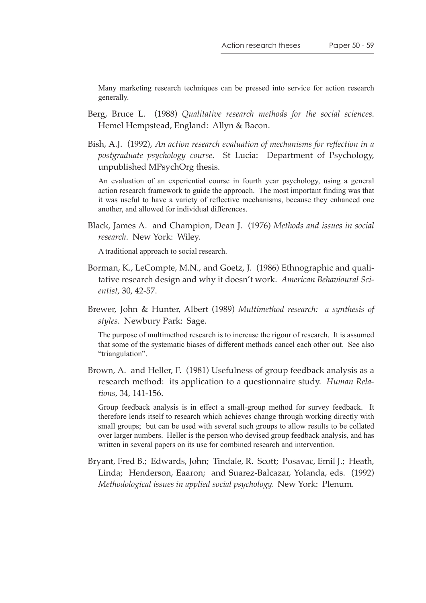Many marketing research techniques can be pressed into service for action research generally.

- Berg, Bruce L. (1988) *Qualitative research methods for the social sciences*. Hemel Hempstead, England: Allyn & Bacon.
- Bish, A.J. (1992), *An action research evaluation of mechanisms for reflection in a postgraduate psychology course*. St Lucia: Department of Psychology, unpublished MPsychOrg thesis.

An evaluation of an experiential course in fourth year psychology, using a general action research framework to guide the approach. The most important finding was that it was useful to have a variety of reflective mechanisms, because they enhanced one another, and allowed for individual differences.

Black, James A. and Champion, Dean J. (1976) *Methods and issues in social research*. New York: Wiley.

A traditional approach to social research.

- Borman, K., LeCompte, M.N., and Goetz, J. (1986) Ethnographic and qualitative research design and why it doesn't work. *American Behavioural Scientist*, 30, 42-57.
- Brewer, John & Hunter, Albert (1989) *Multimethod research: a synthesis of styles*. Newbury Park: Sage.

The purpose of multimethod research is to increase the rigour of research. It is assumed that some of the systematic biases of different methods cancel each other out. See also "triangulation".

Brown, A. and Heller, F. (1981) Usefulness of group feedback analysis as a research method: its application to a questionnaire study. *Human Relations*, 34, 141-156.

Group feedback analysis is in effect a small-group method for survey feedback. It therefore lends itself to research which achieves change through working directly with small groups; but can be used with several such groups to allow results to be collated over larger numbers. Heller is the person who devised group feedback analysis, and has written in several papers on its use for combined research and intervention.

Bryant, Fred B.; Edwards, John; Tindale, R. Scott; Posavac, Emil J.; Heath, Linda; Henderson, Eaaron; and Suarez-Balcazar, Yolanda, eds. (1992) *Methodological issues in applied social psychology*. New York: Plenum.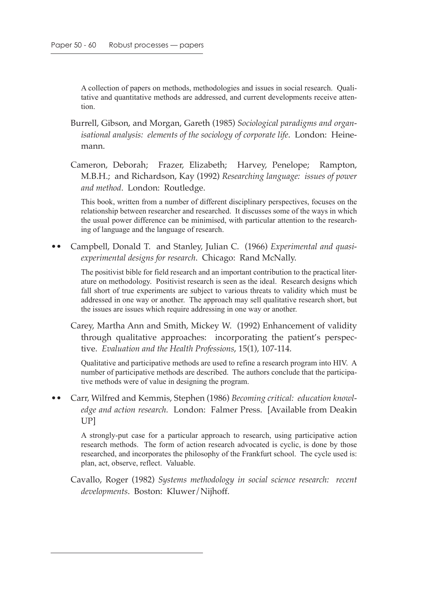A collection of papers on methods, methodologies and issues in social research. Qualitative and quantitative methods are addressed, and current developments receive attention.

- Burrell, Gibson, and Morgan, Gareth (1985) *Sociological paradigms and organisational analysis: elements of the sociology of corporate life*. London: Heinemann.
- Cameron, Deborah; Frazer, Elizabeth; Harvey, Penelope; Rampton, M.B.H.; and Richardson, Kay (1992) *Researching language: issues of power and method*. London: Routledge.

This book, written from a number of different disciplinary perspectives, focuses on the relationship between researcher and researched. It discusses some of the ways in which the usual power difference can be minimised, with particular attention to the researching of language and the language of research.

•• Campbell, Donald T. and Stanley, Julian C. (1966) *Experimental and quasiexperimental designs for research*. Chicago: Rand McNally.

The positivist bible for field research and an important contribution to the practical literature on methodology. Positivist research is seen as the ideal. Research designs which fall short of true experiments are subject to various threats to validity which must be addressed in one way or another. The approach may sell qualitative research short, but the issues are issues which require addressing in one way or another.

Carey, Martha Ann and Smith, Mickey W. (1992) Enhancement of validity through qualitative approaches: incorporating the patient's perspective. *Evaluation and the Health Professions*, 15(1), 107-114.

Qualitative and participative methods are used to refine a research program into HIV. A number of participative methods are described. The authors conclude that the participative methods were of value in designing the program.

•• Carr, Wilfred and Kemmis, Stephen (1986) *Becoming critical: education knowledge and action research.* London: Falmer Press. [Available from Deakin UP]

A strongly-put case for a particular approach to research, using participative action research methods. The form of action research advocated is cyclic, is done by those researched, and incorporates the philosophy of the Frankfurt school. The cycle used is: plan, act, observe, reflect. Valuable.

Cavallo, Roger (1982) *Systems methodology in social science research: recent developments*. Boston: Kluwer/Nijhoff.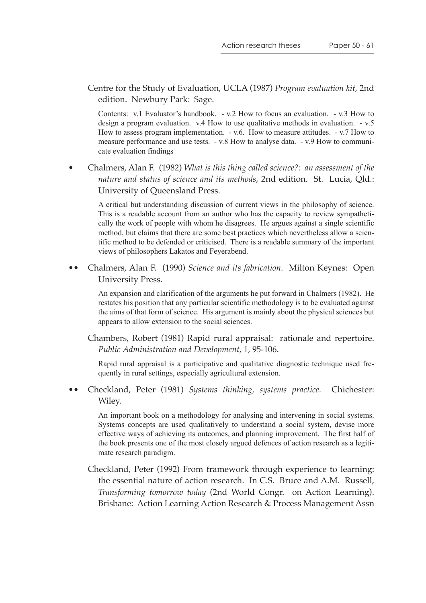Centre for the Study of Evaluation, UCLA (1987) *Program evaluation kit*, 2nd edition. Newbury Park: Sage.

Contents: v.1 Evaluator's handbook. - v.2 How to focus an evaluation. - v.3 How to design a program evaluation. v.4 How to use qualitative methods in evaluation. - v.5 How to assess program implementation. - v.6. How to measure attitudes. - v.7 How to measure performance and use tests. - v.8 How to analyse data. - v.9 How to communicate evaluation findings

• Chalmers, Alan F. (1982) *What is this thing called science?: an assessment of the nature and status of science and its methods*, 2nd edition. St. Lucia, Qld.: University of Queensland Press.

A critical but understanding discussion of current views in the philosophy of science. This is a readable account from an author who has the capacity to review sympathetically the work of people with whom he disagrees. He argues against a single scientific method, but claims that there are some best practices which nevertheless allow a scientific method to be defended or criticised. There is a readable summary of the important views of philosophers Lakatos and Feyerabend.

•• Chalmers, Alan F. (1990) *Science and its fabrication*. Milton Keynes: Open University Press.

An expansion and clarification of the arguments he put forward in Chalmers (1982). He restates his position that any particular scientific methodology is to be evaluated against the aims of that form of science. His argument is mainly about the physical sciences but appears to allow extension to the social sciences.

Chambers, Robert (1981) Rapid rural appraisal: rationale and repertoire. *Public Administration and Development*, 1, 95-106.

Rapid rural appraisal is a participative and qualitative diagnostic technique used frequently in rural settings, especially agricultural extension.

•• Checkland, Peter (1981) *Systems thinking, systems practice*. Chichester: Wiley.

An important book on a methodology for analysing and intervening in social systems. Systems concepts are used qualitatively to understand a social system, devise more effective ways of achieving its outcomes, and planning improvement. The first half of the book presents one of the most closely argued defences of action research as a legitimate research paradigm.

Checkland, Peter (1992) From framework through experience to learning: the essential nature of action research. In C.S. Bruce and A.M. Russell, *Transforming tomorrow today* (2nd World Congr. on Action Learning). Brisbane: Action Learning Action Research & Process Management Assn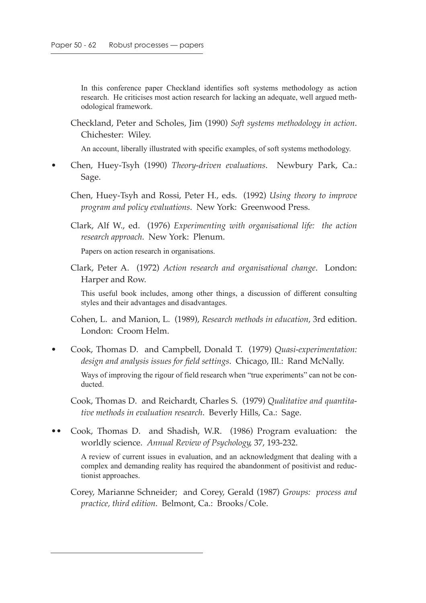In this conference paper Checkland identifies soft systems methodology as action research. He criticises most action research for lacking an adequate, well argued methodological framework.

Checkland, Peter and Scholes, Jim (1990) *Soft systems methodology in action*. Chichester: Wiley.

An account, liberally illustrated with specific examples, of soft systems methodology.

- Chen, Huey-Tsyh (1990) *Theory-driven evaluations*. Newbury Park, Ca.: Sage.
	- Chen, Huey-Tsyh and Rossi, Peter H., eds. (1992) *Using theory to improve program and policy evaluations*. New York: Greenwood Press.
	- Clark, Alf W., ed. (1976) *Experimenting with organisational life: the action research approach*. New York: Plenum.

Papers on action research in organisations.

Clark, Peter A. (1972) *Action research and organisational change*. London: Harper and Row.

This useful book includes, among other things, a discussion of different consulting styles and their advantages and disadvantages.

Cohen, L. and Manion, L. (1989), *Research methods in education*, 3rd edition. London: Croom Helm.

- Cook, Thomas D. and Campbell, Donald T. (1979) *Quasi-experimentation: design and analysis issues for field settings*. Chicago, Ill.: Rand McNally. Ways of improving the rigour of field research when "true experiments" can not be conducted.
	- Cook, Thomas D. and Reichardt, Charles S. (1979) *Qualitative and quantitative methods in evaluation research*. Beverly Hills, Ca.: Sage.
- •• Cook, Thomas D. and Shadish, W.R. (1986) Program evaluation: the worldly science. *Annual Review of Psychology*, 37, 193-232.

A review of current issues in evaluation, and an acknowledgment that dealing with a complex and demanding reality has required the abandonment of positivist and reductionist approaches.

Corey, Marianne Schneider; and Corey, Gerald (1987) *Groups: process and practice, third edition*. Belmont, Ca.: Brooks/Cole.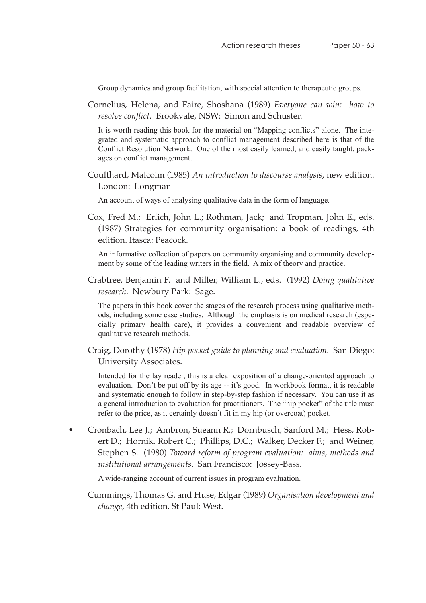Group dynamics and group facilitation, with special attention to therapeutic groups.

Cornelius, Helena, and Faire, Shoshana (1989) *Everyone can win: how to resolve conflict*. Brookvale, NSW: Simon and Schuster.

It is worth reading this book for the material on "Mapping conflicts" alone. The integrated and systematic approach to conflict management described here is that of the Conflict Resolution Network. One of the most easily learned, and easily taught, packages on conflict management.

Coulthard, Malcolm (1985) *An introduction to discourse analysis*, new edition. London: Longman

An account of ways of analysing qualitative data in the form of language.

Cox, Fred M.; Erlich, John L.; Rothman, Jack; and Tropman, John E., eds. (1987) Strategies for community organisation: a book of readings, 4th edition. Itasca: Peacock.

An informative collection of papers on community organising and community development by some of the leading writers in the field. A mix of theory and practice.

Crabtree, Benjamin F. and Miller, William L., eds. (1992) *Doing qualitative research*. Newbury Park: Sage.

The papers in this book cover the stages of the research process using qualitative methods, including some case studies. Although the emphasis is on medical research (especially primary health care), it provides a convenient and readable overview of qualitative research methods.

Craig, Dorothy (1978) *Hip pocket guide to planning and evaluation*. San Diego: University Associates.

Intended for the lay reader, this is a clear exposition of a change-oriented approach to evaluation. Don't be put off by its age -- it's good. In workbook format, it is readable and systematic enough to follow in step-by-step fashion if necessary. You can use it as a general introduction to evaluation for practitioners. The "hip pocket" of the title must refer to the price, as it certainly doesn't fit in my hip (or overcoat) pocket.

• Cronbach, Lee J.; Ambron, Sueann R.; Dornbusch, Sanford M.; Hess, Robert D.; Hornik, Robert C.; Phillips, D.C.; Walker, Decker F.; and Weiner, Stephen S. (1980) *Toward reform of program evaluation: aims, methods and institutional arrangements*. San Francisco: Jossey-Bass.

A wide-ranging account of current issues in program evaluation.

Cummings, Thomas G. and Huse, Edgar (1989) *Organisation development and change*, 4th edition. St Paul: West.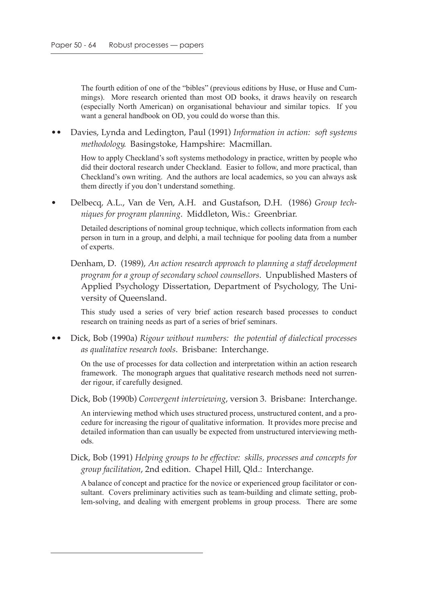The fourth edition of one of the "bibles" (previous editions by Huse, or Huse and Cummings). More research oriented than most OD books, it draws heavily on research (especially North American) on organisational behaviour and similar topics. If you want a general handbook on OD, you could do worse than this.

•• Davies, Lynda and Ledington, Paul (1991) *Information in action: soft systems methodology*. Basingstoke, Hampshire: Macmillan.

How to apply Checkland's soft systems methodology in practice, written by people who did their doctoral research under Checkland. Easier to follow, and more practical, than Checkland's own writing. And the authors are local academics, so you can always ask them directly if you don't understand something.

• Delbecq, A.L., Van de Ven, A.H. and Gustafson, D.H. (1986) *Group techniques for program planning*. Middleton, Wis.: Greenbriar.

Detailed descriptions of nominal group technique, which collects information from each person in turn in a group, and delphi, a mail technique for pooling data from a number of experts.

Denham, D. (1989), *An action research approach to planning a staff development program for a group of secondary school counsellors*. Unpublished Masters of Applied Psychology Dissertation, Department of Psychology, The University of Queensland.

This study used a series of very brief action research based processes to conduct research on training needs as part of a series of brief seminars.

•• Dick, Bob (1990a) *Rigour without numbers: the potential of dialectical processes as qualitative research tools*. Brisbane: Interchange.

On the use of processes for data collection and interpretation within an action research framework. The monograph argues that qualitative research methods need not surrender rigour, if carefully designed.

Dick, Bob (1990b) *Convergent interviewing*, version 3. Brisbane: Interchange.

An interviewing method which uses structured process, unstructured content, and a procedure for increasing the rigour of qualitative information. It provides more precise and detailed information than can usually be expected from unstructured interviewing methods.

Dick, Bob (1991) *Helping groups to be effective: skills, processes and concepts for group facilitation*, 2nd edition. Chapel Hill, Qld.: Interchange.

A balance of concept and practice for the novice or experienced group facilitator or consultant. Covers preliminary activities such as team-building and climate setting, problem-solving, and dealing with emergent problems in group process. There are some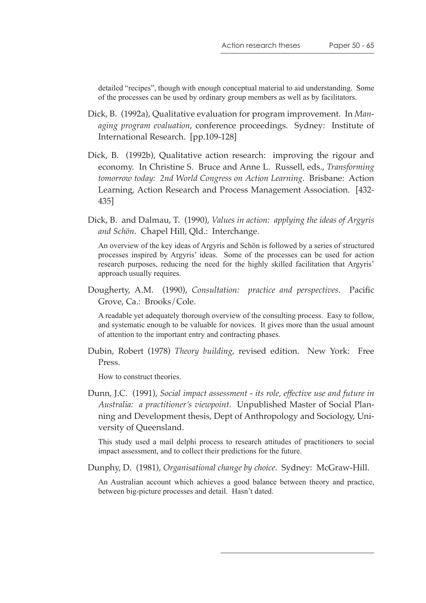detailed "recipes", though with enough conceptual material to aid understanding. Some of the processes can be used by ordinary group members as well as by facilitators.

- Dick, B. (1992a), Qualitative evaluation for program improvement. In *Managing program evaluation*, conference proceedings. Sydney: Institute of International Research. [pp.109-128]
- Dick, B. (1992b), Qualitative action research: improving the rigour and economy. In Christine S. Bruce and Anne L. Russell, eds., *Transforming tomorrow today: 2nd World Congress on Action Learning*. Brisbane: Action Learning, Action Research and Process Management Association. [432- 435]
- Dick, B. and Dalmau, T. (1990), *Values in action: applying the ideas of Argyris and Schön*. Chapel Hill, Qld.: Interchange.

An overview of the key ideas of Argyris and Schön is followed by a series of structured processes inspired by Argyris' ideas. Some of the processes can be used for action research purposes, reducing the need for the highly skilled facilitation that Argyris' approach usually requires.

Dougherty, A.M. (1990), *Consultation: practice and perspectives*. Pacific Grove, Ca.: Brooks/Cole.

A readable yet adequately thorough overview of the consulting process. Easy to follow, and systematic enough to be valuable for novices. It gives more than the usual amount of attention to the important entry and contracting phases.

Dubin, Robert (1978) *Theory building*, revised edition. New York: Free Press.

How to construct theories.

Dunn, J.C. (1991), *Social impact assessment - its role, effective use and future in Australia: a practitioner's viewpoint*. Unpublished Master of Social Planning and Development thesis, Dept of Anthropology and Sociology, University of Queensland.

This study used a mail delphi process to research attitudes of practitioners to social impact assessment, and to collect their predictions for the future.

Dunphy, D. (1981), *Organisational change by choice*. Sydney: McGraw-Hill.

An Australian account which achieves a good balance between theory and practice, between big-picture processes and detail. Hasn't dated.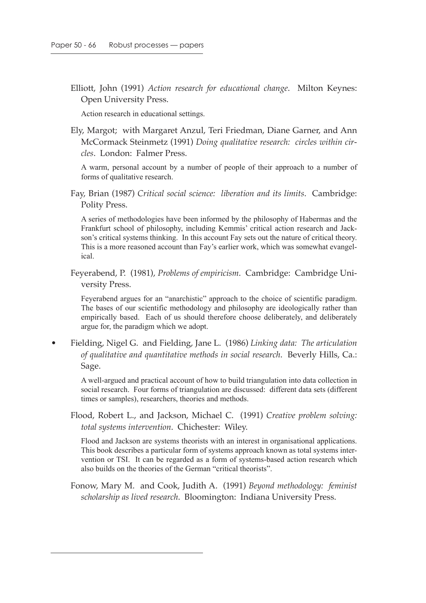Elliott, John (1991) *Action research for educational change*. Milton Keynes: Open University Press.

Action research in educational settings.

Ely, Margot; with Margaret Anzul, Teri Friedman, Diane Garner, and Ann McCormack Steinmetz (1991) *Doing qualitative research: circles within circles*. London: Falmer Press.

A warm, personal account by a number of people of their approach to a number of forms of qualitative research.

Fay, Brian (1987) *Critical social science: liberation and its limits*. Cambridge: Polity Press.

A series of methodologies have been informed by the philosophy of Habermas and the Frankfurt school of philosophy, including Kemmis' critical action research and Jackson's critical systems thinking. In this account Fay sets out the nature of critical theory. This is a more reasoned account than Fay's earlier work, which was somewhat evangelical.

Feyerabend, P. (1981), *Problems of empiricism*. Cambridge: Cambridge University Press.

Feyerabend argues for an "anarchistic" approach to the choice of scientific paradigm. The bases of our scientific methodology and philosophy are ideologically rather than empirically based. Each of us should therefore choose deliberately, and deliberately argue for, the paradigm which we adopt.

• Fielding, Nigel G. and Fielding, Jane L. (1986) *Linking data: The articulation of qualitative and quantitative methods in social research*. Beverly Hills, Ca.: Sage.

A well-argued and practical account of how to build triangulation into data collection in social research. Four forms of triangulation are discussed: different data sets (different times or samples), researchers, theories and methods.

Flood, Robert L., and Jackson, Michael C. (1991) *Creative problem solving: total systems intervention*. Chichester: Wiley.

Flood and Jackson are systems theorists with an interest in organisational applications. This book describes a particular form of systems approach known as total systems intervention or TSI. It can be regarded as a form of systems-based action research which also builds on the theories of the German "critical theorists".

Fonow, Mary M. and Cook, Judith A. (1991) *Beyond methodology: feminist scholarship as lived research*. Bloomington: Indiana University Press.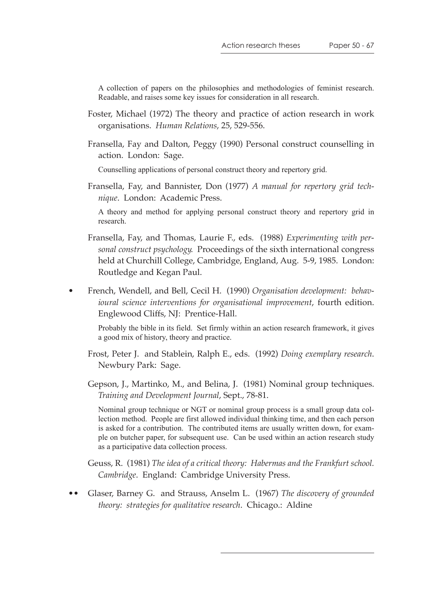A collection of papers on the philosophies and methodologies of feminist research. Readable, and raises some key issues for consideration in all research.

- Foster, Michael (1972) The theory and practice of action research in work organisations. *Human Relations*, 25, 529-556.
- Fransella, Fay and Dalton, Peggy (1990) Personal construct counselling in action. London: Sage.

Counselling applications of personal construct theory and repertory grid.

Fransella, Fay, and Bannister, Don (1977) *A manual for repertory grid technique*. London: Academic Press.

A theory and method for applying personal construct theory and repertory grid in research.

- Fransella, Fay, and Thomas, Laurie F., eds. (1988) *Experimenting with personal construct psychology*. Proceedings of the sixth international congress held at Churchill College, Cambridge, England, Aug. 5-9, 1985. London: Routledge and Kegan Paul.
- French, Wendell, and Bell, Cecil H. (1990) *Organisation development: behavioural science interventions for organisational improvement*, fourth edition. Englewood Cliffs, NJ: Prentice-Hall.

Probably the bible in its field. Set firmly within an action research framework, it gives a good mix of history, theory and practice.

- Frost, Peter J. and Stablein, Ralph E., eds. (1992) *Doing exemplary research*. Newbury Park: Sage.
- Gepson, J., Martinko, M., and Belina, J. (1981) Nominal group techniques. *Training and Development Journal*, Sept., 78-81.

Nominal group technique or NGT or nominal group process is a small group data collection method. People are first allowed individual thinking time, and then each person is asked for a contribution. The contributed items are usually written down, for example on butcher paper, for subsequent use. Can be used within an action research study as a participative data collection process.

Geuss, R. (1981) *The idea of a critical theory: Habermas and the Frankfurt school. Cambridge*. England: Cambridge University Press.

•• Glaser, Barney G. and Strauss, Anselm L. (1967) *The discovery of grounded theory: strategies for qualitative research*. Chicago.: Aldine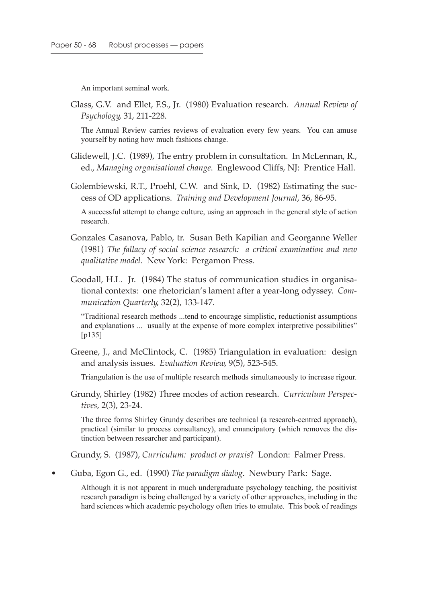An important seminal work.

Glass, G.V. and Ellet, F.S., Jr. (1980) Evaluation research. *Annual Review of Psychology*, 31, 211-228.

The Annual Review carries reviews of evaluation every few years. You can amuse yourself by noting how much fashions change.

- Glidewell, J.C. (1989), The entry problem in consultation. In McLennan, R., ed., *Managing organisational change*. Englewood Cliffs, NJ: Prentice Hall.
- Golembiewski, R.T., Proehl, C.W. and Sink, D. (1982) Estimating the success of OD applications. *Training and Development Journal*, 36, 86-95.

A successful attempt to change culture, using an approach in the general style of action research.

- Gonzales Casanova, Pablo, tr. Susan Beth Kapilian and Georganne Weller (1981) *The fallacy of social science research: a critical examination and new qualitative model*. New York: Pergamon Press.
- Goodall, H.L. Jr. (1984) The status of communication studies in organisational contexts: one rhetorician's lament after a year-long odyssey. *Communication Quarterly*, 32(2), 133-147.

"Traditional research methods ...tend to encourage simplistic, reductionist assumptions and explanations ... usually at the expense of more complex interpretive possibilities"  $[p135]$ 

Greene, J., and McClintock, C. (1985) Triangulation in evaluation: design and analysis issues. *Evaluation Review*, 9(5), 523-545.

Triangulation is the use of multiple research methods simultaneously to increase rigour.

Grundy, Shirley (1982) Three modes of action research. *Curriculum Perspectives*, 2(3), 23-24.

The three forms Shirley Grundy describes are technical (a research-centred approach), practical (similar to process consultancy), and emancipatory (which removes the distinction between researcher and participant).

Grundy, S. (1987), *Curriculum: product or praxis*? London: Falmer Press.

• Guba, Egon G., ed. (1990) *The paradigm dialog*. Newbury Park: Sage.

Although it is not apparent in much undergraduate psychology teaching, the positivist research paradigm is being challenged by a variety of other approaches, including in the hard sciences which academic psychology often tries to emulate. This book of readings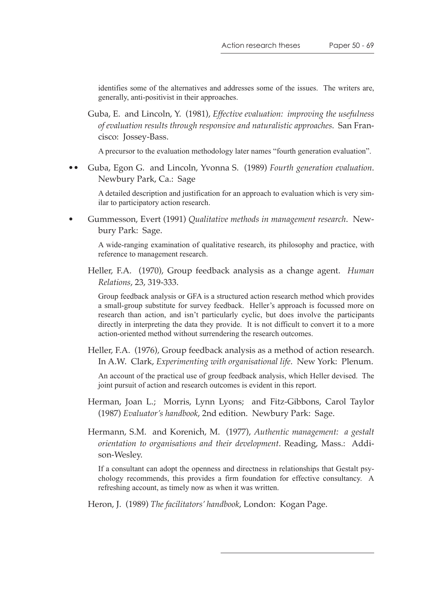identifies some of the alternatives and addresses some of the issues. The writers are, generally, anti-positivist in their approaches.

Guba, E. and Lincoln, Y. (1981), *Effective evaluation: improving the usefulness of evaluation results through responsive and naturalistic approaches*. San Francisco: Jossey-Bass.

A precursor to the evaluation methodology later names "fourth generation evaluation".

•• Guba, Egon G. and Lincoln, Yvonna S. (1989) *Fourth generation evaluation*. Newbury Park, Ca.: Sage

A detailed description and justification for an approach to evaluation which is very similar to participatory action research.

• Gummesson, Evert (1991) *Qualitative methods in management research*. Newbury Park: Sage.

A wide-ranging examination of qualitative research, its philosophy and practice, with reference to management research.

Heller, F.A. (1970), Group feedback analysis as a change agent. *Human Relations*, 23, 319-333.

Group feedback analysis or GFA is a structured action research method which provides a small-group substitute for survey feedback. Heller's approach is focussed more on research than action, and isn't particularly cyclic, but does involve the participants directly in interpreting the data they provide. It is not difficult to convert it to a more action-oriented method without surrendering the research outcomes.

Heller, F.A. (1976), Group feedback analysis as a method of action research. In A.W. Clark, *Experimenting with organisational life*. New York: Plenum.

An account of the practical use of group feedback analysis, which Heller devised. The joint pursuit of action and research outcomes is evident in this report.

- Herman, Joan L.; Morris, Lynn Lyons; and Fitz-Gibbons, Carol Taylor (1987) *Evaluator's handbook*, 2nd edition. Newbury Park: Sage.
- Hermann, S.M. and Korenich, M. (1977), *Authentic management: a gestalt orientation to organisations and their development*. Reading, Mass.: Addison-Wesley.

If a consultant can adopt the openness and directness in relationships that Gestalt psychology recommends, this provides a firm foundation for effective consultancy. A refreshing account, as timely now as when it was written.

Heron, J. (1989) *The facilitators' handbook*, London: Kogan Page.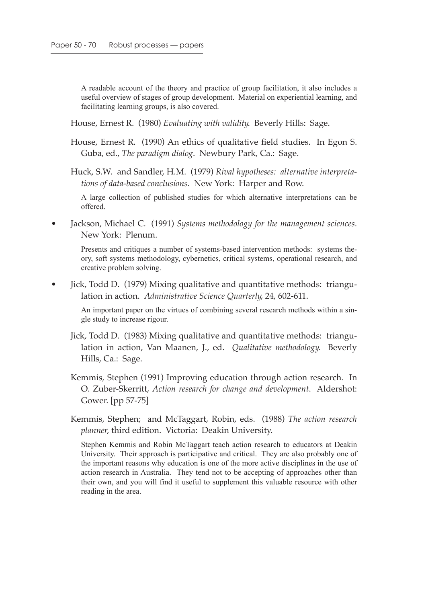A readable account of the theory and practice of group facilitation, it also includes a useful overview of stages of group development. Material on experiential learning, and facilitating learning groups, is also covered.

- House, Ernest R. (1980) *Evaluating with validity*. Beverly Hills: Sage.
- House, Ernest R. (1990) An ethics of qualitative field studies. In Egon S. Guba, ed., *The paradigm dialog*. Newbury Park, Ca.: Sage.
- Huck, S.W. and Sandler, H.M. (1979) *Rival hypotheses: alternative interpretations of data-based conclusions*. New York: Harper and Row.

A large collection of published studies for which alternative interpretations can be offered.

• Jackson, Michael C. (1991) *Systems methodology for the management sciences*. New York: Plenum.

Presents and critiques a number of systems-based intervention methods: systems theory, soft systems methodology, cybernetics, critical systems, operational research, and creative problem solving.

• Jick, Todd D. (1979) Mixing qualitative and quantitative methods: triangulation in action. *Administrative Science Quarterly*, 24, 602-611.

An important paper on the virtues of combining several research methods within a single study to increase rigour.

- Jick, Todd D. (1983) Mixing qualitative and quantitative methods: triangulation in action, Van Maanen, J., ed. *Qualitative methodology*. Beverly Hills, Ca.: Sage.
- Kemmis, Stephen (1991) Improving education through action research. In O. Zuber-Skerritt, *Action research for change and development*. Aldershot: Gower. [pp 57-75]
- Kemmis, Stephen; and McTaggart, Robin, eds. (1988) *The action research planner*, third edition. Victoria: Deakin University.

Stephen Kemmis and Robin McTaggart teach action research to educators at Deakin University. Their approach is participative and critical. They are also probably one of the important reasons why education is one of the more active disciplines in the use of action research in Australia. They tend not to be accepting of approaches other than their own, and you will find it useful to supplement this valuable resource with other reading in the area.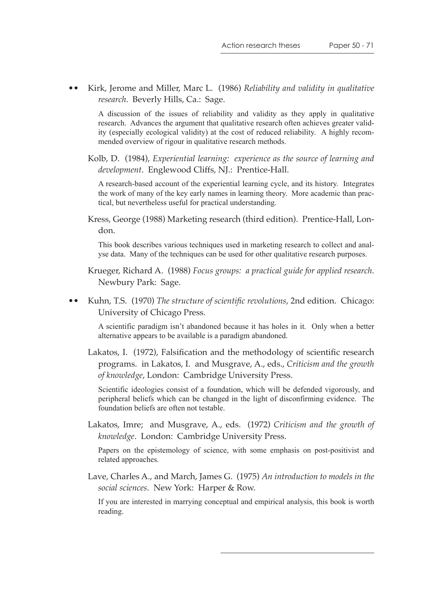•• Kirk, Jerome and Miller, Marc L. (1986) *Reliability and validity in qualitative research*. Beverly Hills, Ca.: Sage.

A discussion of the issues of reliability and validity as they apply in qualitative research. Advances the argument that qualitative research often achieves greater validity (especially ecological validity) at the cost of reduced reliability. A highly recommended overview of rigour in qualitative research methods.

Kolb, D. (1984), *Experiential learning: experience as the source of learning and development*. Englewood Cliffs, NJ.: Prentice-Hall.

A research-based account of the experiential learning cycle, and its history. Integrates the work of many of the key early names in learning theory. More academic than practical, but nevertheless useful for practical understanding.

Kress, George (1988) Marketing research (third edition). Prentice-Hall, London.

This book describes various techniques used in marketing research to collect and analyse data. Many of the techniques can be used for other qualitative research purposes.

Krueger, Richard A. (1988) *Focus groups: a practical guide for applied research*. Newbury Park: Sage.

•• Kuhn, T.S. (1970) *The structure of scientific revolutions*, 2nd edition. Chicago: University of Chicago Press.

A scientific paradigm isn't abandoned because it has holes in it. Only when a better alternative appears to be available is a paradigm abandoned.

Lakatos, I. (1972), Falsification and the methodology of scientific research programs. in Lakatos, I. and Musgrave, A., eds., *Criticism and the growth of knowledge*, London: Cambridge University Press.

Scientific ideologies consist of a foundation, which will be defended vigorously, and peripheral beliefs which can be changed in the light of disconfirming evidence. The foundation beliefs are often not testable.

Lakatos, Imre; and Musgrave, A., eds. (1972) *Criticism and the growth of knowledge*. London: Cambridge University Press.

Papers on the epistemology of science, with some emphasis on post-positivist and related approaches.

Lave, Charles A., and March, James G. (1975) *An introduction to models in the social sciences*. New York: Harper & Row.

If you are interested in marrying conceptual and empirical analysis, this book is worth reading.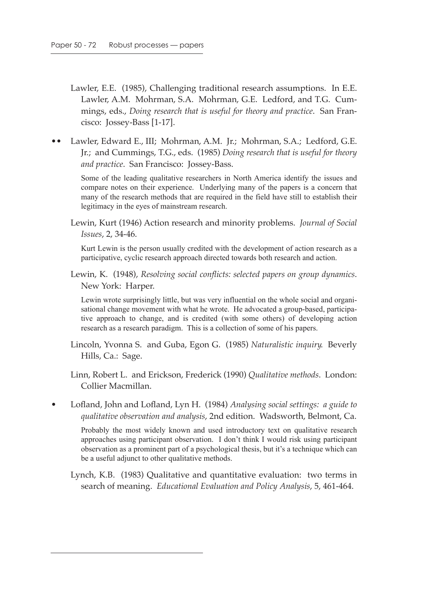- Lawler, E.E. (1985), Challenging traditional research assumptions. In E.E. Lawler, A.M. Mohrman, S.A. Mohrman, G.E. Ledford, and T.G. Cummings, eds., *Doing research that is useful for theory and practice*. San Francisco: Jossey-Bass [1-17].
- •• Lawler, Edward E., III; Mohrman, A.M. Jr.; Mohrman, S.A.; Ledford, G.E. Jr.; and Cummings, T.G., eds. (1985) *Doing research that is useful for theory and practice*. San Francisco: Jossey-Bass.

Some of the leading qualitative researchers in North America identify the issues and compare notes on their experience. Underlying many of the papers is a concern that many of the research methods that are required in the field have still to establish their legitimacy in the eyes of mainstream research.

Lewin, Kurt (1946) Action research and minority problems. *Journal of Social Issues*, 2, 34-46.

Kurt Lewin is the person usually credited with the development of action research as a participative, cyclic research approach directed towards both research and action.

Lewin, K. (1948), *Resolving social conflicts: selected papers on group dynamics*. New York: Harper.

Lewin wrote surprisingly little, but was very influential on the whole social and organisational change movement with what he wrote. He advocated a group-based, participative approach to change, and is credited (with some others) of developing action research as a research paradigm. This is a collection of some of his papers.

- Lincoln, Yvonna S. and Guba, Egon G. (1985) *Naturalistic inquiry*. Beverly Hills, Ca.: Sage.
- Linn, Robert L. and Erickson, Frederick (1990) *Qualitative methods*. London: Collier Macmillan.
- Lofland, John and Lofland, Lyn H. (1984) *Analysing social settings: a guide to qualitative observation and analysis*, 2nd edition. Wadsworth, Belmont, Ca.

Probably the most widely known and used introductory text on qualitative research approaches using participant observation. I don't think I would risk using participant observation as a prominent part of a psychological thesis, but it's a technique which can be a useful adjunct to other qualitative methods.

Lynch, K.B. (1983) Qualitative and quantitative evaluation: two terms in search of meaning. *Educational Evaluation and Policy Analysis*, 5, 461-464.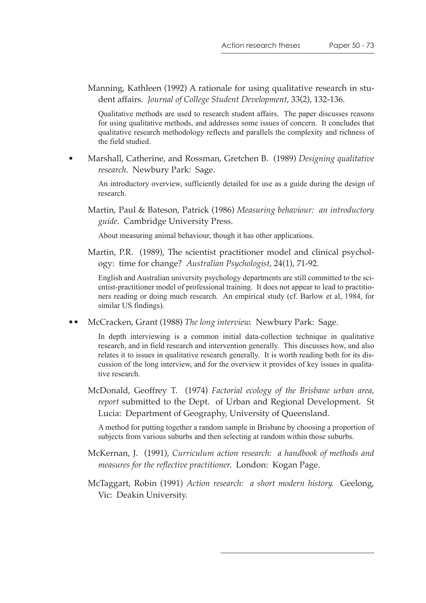Manning, Kathleen (1992) A rationale for using qualitative research in student affairs. *Journal of College Student Development*, 33(2), 132-136.

Qualitative methods are used to research student affairs. The paper discusses reasons for using qualitative methods, and addresses some issues of concern. It concludes that qualitative research methodology reflects and parallels the complexity and richness of the field studied.

• Marshall, Catherine, and Rossman, Gretchen B. (1989) *Designing qualitative research*. Newbury Park: Sage.

An introductory overview, sufficiently detailed for use as a guide during the design of research.

Martin, Paul & Bateson, Patrick (1986) *Measuring behaviour: an introductory guide*. Cambridge University Press.

About measuring animal behaviour, though it has other applications.

Martin, P.R. (1989), The scientist practitioner model and clinical psychology: time for change? *Australian Psychologist*, 24(1), 71-92.

English and Australian university psychology departments are still committed to the scientist-practitioner model of professional training. It does not appear to lead to practitioners reading or doing much research. An empirical study (cf. Barlow et al, 1984, for similar US findings).

•• McCracken, Grant (1988) *The long interview*. Newbury Park: Sage.

In depth interviewing is a common initial data-collection technique in qualitative research, and in field research and intervention generally. This discusses how, and also relates it to issues in qualitative research generally. It is worth reading both for its discussion of the long interview, and for the overview it provides of key issues in qualitative research.

McDonald, Geoffrey T. (1974) *Factorial ecology of the Brisbane urban area, report* submitted to the Dept. of Urban and Regional Development. St Lucia: Department of Geography, University of Queensland.

A method for putting together a random sample in Brisbane by choosing a proportion of subjects from various suburbs and then selecting at random within those suburbs.

- McKernan, J. (1991), *Curriculum action research: a handbook of methods and measures for the reflective practitioner*. London: Kogan Page.
- McTaggart, Robin (1991) *Action research: a short modern history*. Geelong, Vic: Deakin University.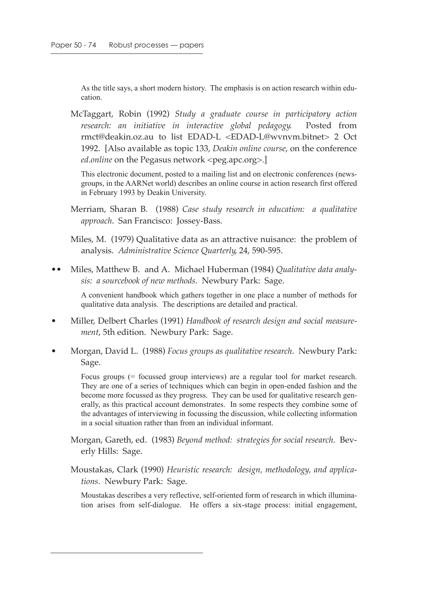As the title says, a short modern history. The emphasis is on action research within education.

McTaggart, Robin (1992) *Study a graduate course in participatory action research: an initiative in interactive global pedagogy*. Posted from rmct@deakin.oz.au to list EDAD-L <EDAD-L@wvnvm.bitnet> 2 Oct 1992. [Also available as topic 133, *Deakin online course*, on the conference *ed.online* on the Pegasus network <peg.apc.org>.]

This electronic document, posted to a mailing list and on electronic conferences (newsgroups, in the AARNet world) describes an online course in action research first offered in February 1993 by Deakin University.

- Merriam, Sharan B. (1988) *Case study research in education: a qualitative approach*. San Francisco: Jossey-Bass.
- Miles, M. (1979) Qualitative data as an attractive nuisance: the problem of analysis. *Administrative Science Quarterly*, 24, 590-595.
- •• Miles, Matthew B. and A. Michael Huberman (1984) *Qualitative data analysis: a sourcebook of new methods*. Newbury Park: Sage.

A convenient handbook which gathers together in one place a number of methods for qualitative data analysis. The descriptions are detailed and practical.

- Miller, Delbert Charles (1991) *Handbook of research design and social measurement*, 5th edition. Newbury Park: Sage.
- Morgan, David L. (1988) *Focus groups as qualitative research*. Newbury Park: Sage.

Focus groups (= focussed group interviews) are a regular tool for market research. They are one of a series of techniques which can begin in open-ended fashion and the become more focussed as they progress. They can be used for qualitative research generally, as this practical account demonstrates. In some respects they combine some of the advantages of interviewing in focussing the discussion, while collecting information in a social situation rather than from an individual informant.

Morgan, Gareth, ed. (1983) *Beyond method: strategies for social research*. Beverly Hills: Sage.

Moustakas, Clark (1990) *Heuristic research: design, methodology, and applications*. Newbury Park: Sage.

Moustakas describes a very reflective, self-oriented form of research in which illumination arises from self-dialogue. He offers a six-stage process: initial engagement,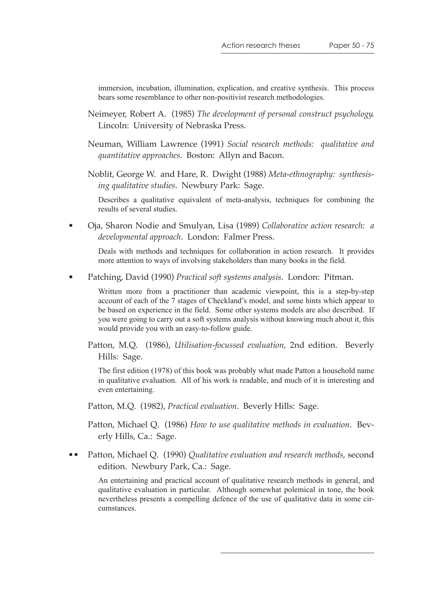immersion, incubation, illumination, explication, and creative synthesis. This process bears some resemblance to other non-positivist research methodologies.

- Neimeyer, Robert A. (1985) *The development of personal construct psychology*. Lincoln: University of Nebraska Press.
- Neuman, William Lawrence (1991) *Social research methods: qualitative and quantitative approaches*. Boston: Allyn and Bacon.
- Noblit, George W. and Hare, R. Dwight (1988) *Meta-ethnography: synthesising qualitative studies*. Newbury Park: Sage.

Describes a qualitative equivalent of meta-analysis, techniques for combining the results of several studies.

• Oja, Sharon Nodie and Smulyan, Lisa (1989) *Collaborative action research: a developmental approach*. London: Falmer Press.

Deals with methods and techniques for collaboration in action research. It provides more attention to ways of involving stakeholders than many books in the field.

• Patching, David (1990) *Practical soft systems analysis*. London: Pitman.

Written more from a practitioner than academic viewpoint, this is a step-by-step account of each of the 7 stages of Checkland's model, and some hints which appear to be based on experience in the field. Some other systems models are also described. If you were going to carry out a soft systems analysis without knowing much about it, this would provide you with an easy-to-follow guide.

Patton, M.Q. (1986), *Utilisation-focussed evaluation*, 2nd edition. Beverly Hills: Sage.

The first edition (1978) of this book was probably what made Patton a household name in qualitative evaluation. All of his work is readable, and much of it is interesting and even entertaining.

- Patton, M.Q. (1982), *Practical evaluation*. Beverly Hills: Sage.
- Patton, Michael Q. (1986) *How to use qualitative methods in evaluation*. Beverly Hills, Ca.: Sage.
- •• Patton, Michael Q. (1990) *Qualitative evaluation and research methods*, second edition. Newbury Park, Ca.: Sage.

An entertaining and practical account of qualitative research methods in general, and qualitative evaluation in particular. Although somewhat polemical in tone, the book nevertheless presents a compelling defence of the use of qualitative data in some circumstances.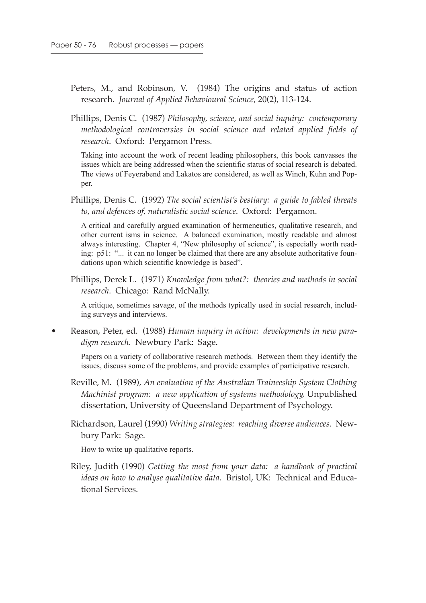- Peters, M., and Robinson, V. (1984) The origins and status of action research. *Journal of Applied Behavioural Science*, 20(2), 113-124.
- Phillips, Denis C. (1987) *Philosophy, science, and social inquiry: contemporary methodological controversies in social science and related applied fields of research*. Oxford: Pergamon Press.

Taking into account the work of recent leading philosophers, this book canvasses the issues which are being addressed when the scientific status of social research is debated. The views of Feyerabend and Lakatos are considered, as well as Winch, Kuhn and Popper.

Phillips, Denis C. (1992) *The social scientist's bestiary: a guide to fabled threats to, and defences of, naturalistic social science*. Oxford: Pergamon.

A critical and carefully argued examination of hermeneutics, qualitative research, and other current isms in science. A balanced examination, mostly readable and almost always interesting. Chapter 4, "New philosophy of science", is especially worth reading: p51: "... it can no longer be claimed that there are any absolute authoritative foundations upon which scientific knowledge is based".

Phillips, Derek L. (1971) *Knowledge from what?: theories and methods in social research*. Chicago: Rand McNally.

A critique, sometimes savage, of the methods typically used in social research, including surveys and interviews.

• Reason, Peter, ed. (1988) *Human inquiry in action: developments in new paradigm research*. Newbury Park: Sage.

Papers on a variety of collaborative research methods. Between them they identify the issues, discuss some of the problems, and provide examples of participative research.

- Reville, M. (1989), *An evaluation of the Australian Traineeship System Clothing Machinist program: a new application of systems methodology*, Unpublished dissertation, University of Queensland Department of Psychology.
- Richardson, Laurel (1990) *Writing strategies: reaching diverse audiences*. Newbury Park: Sage.

How to write up qualitative reports.

Riley, Judith (1990) *Getting the most from your data: a handbook of practical ideas on how to analyse qualitative data*. Bristol, UK: Technical and Educational Services.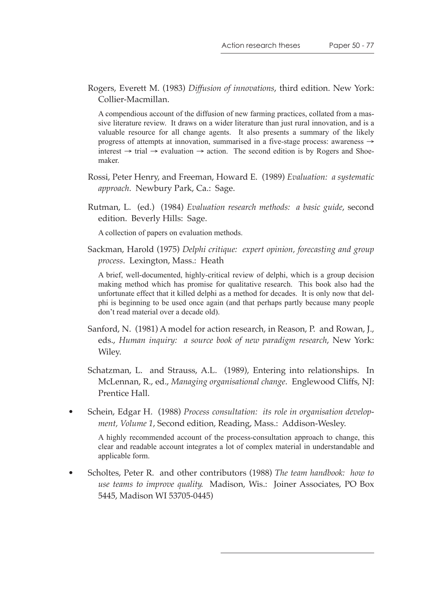Rogers, Everett M. (1983) *Diffusion of innovations*, third edition. New York: Collier-Macmillan.

A compendious account of the diffusion of new farming practices, collated from a massive literature review. It draws on a wider literature than just rural innovation, and is a valuable resource for all change agents. It also presents a summary of the likely progress of attempts at innovation, summarised in a five-stage process: awareness → interest  $\rightarrow$  trial  $\rightarrow$  evaluation  $\rightarrow$  action. The second edition is by Rogers and Shoemaker.

- Rossi, Peter Henry, and Freeman, Howard E. (1989) *Evaluation: a systematic approach*. Newbury Park, Ca.: Sage.
- Rutman, L. (ed.) (1984) *Evaluation research methods: a basic guide*, second edition. Beverly Hills: Sage.

A collection of papers on evaluation methods.

Sackman, Harold (1975) *Delphi critique: expert opinion, forecasting and group process*. Lexington, Mass.: Heath

A brief, well-documented, highly-critical review of delphi, which is a group decision making method which has promise for qualitative research. This book also had the unfortunate effect that it killed delphi as a method for decades. It is only now that delphi is beginning to be used once again (and that perhaps partly because many people don't read material over a decade old).

- Sanford, N. (1981) A model for action research, in Reason, P. and Rowan, J., eds., *Human inquiry: a source book of new paradigm research*, New York: Wiley.
- Schatzman, L. and Strauss, A.L. (1989), Entering into relationships. In McLennan, R., ed., *Managing organisational change*. Englewood Cliffs, NJ: Prentice Hall.
- Schein, Edgar H. (1988) *Process consultation: its role in organisation development, Volume 1*, Second edition, Reading, Mass.: Addison-Wesley.

A highly recommended account of the process-consultation approach to change, this clear and readable account integrates a lot of complex material in understandable and applicable form.

• Scholtes, Peter R. and other contributors (1988) *The team handbook: how to use teams to improve quality*. Madison, Wis.: Joiner Associates, PO Box 5445, Madison WI 53705-0445)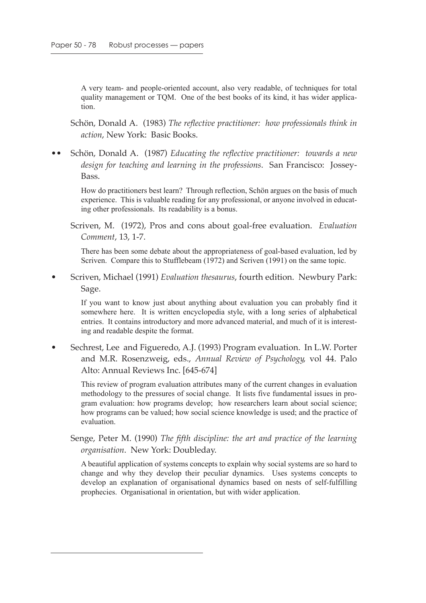A very team- and people-oriented account, also very readable, of techniques for total quality management or TQM. One of the best books of its kind, it has wider application.

- Schön, Donald A. (1983) *The reflective practitioner: how professionals think in action*, New York: Basic Books.
- •• Schön, Donald A. (1987) *Educating the reflective practitioner: towards a new design for teaching and learning in the professions*. San Francisco: Jossey-Bass.

How do practitioners best learn? Through reflection, Schön argues on the basis of much experience. This is valuable reading for any professional, or anyone involved in educating other professionals. Its readability is a bonus.

Scriven, M. (1972), Pros and cons about goal-free evaluation. *Evaluation Comment*, 13, 1-7.

There has been some debate about the appropriateness of goal-based evaluation, led by Scriven. Compare this to Stufflebeam (1972) and Scriven (1991) on the same topic.

• Scriven, Michael (1991) *Evaluation thesaurus*, fourth edition. Newbury Park: Sage.

If you want to know just about anything about evaluation you can probably find it somewhere here. It is written encyclopedia style, with a long series of alphabetical entries. It contains introductory and more advanced material, and much of it is interesting and readable despite the format.

• Sechrest, Lee and Figueredo, A.J. (1993) Program evaluation. In L.W. Porter and M.R. Rosenzweig, eds., *Annual Review of Psychology*, vol 44. Palo Alto: Annual Reviews Inc. [645-674]

This review of program evaluation attributes many of the current changes in evaluation methodology to the pressures of social change. It lists five fundamental issues in program evaluation: how programs develop; how researchers learn about social science; how programs can be valued; how social science knowledge is used; and the practice of evaluation.

Senge, Peter M. (1990) *The fifth discipline: the art and practice of the learning organisation*. New York: Doubleday.

A beautiful application of systems concepts to explain why social systems are so hard to change and why they develop their peculiar dynamics. Uses systems concepts to develop an explanation of organisational dynamics based on nests of self-fulfilling prophecies. Organisational in orientation, but with wider application.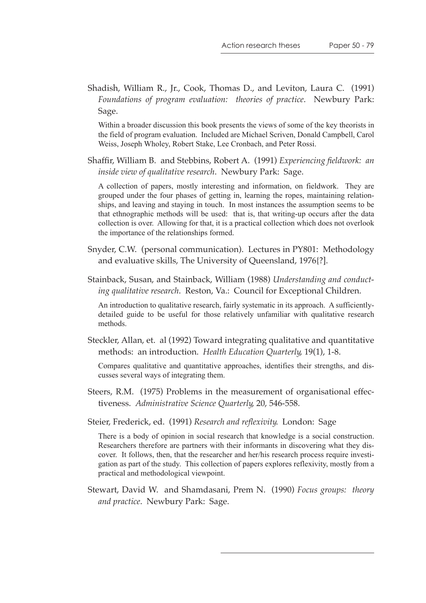Shadish, William R., Jr., Cook, Thomas D., and Leviton, Laura C. (1991) *Foundations of program evaluation: theories of practice*. Newbury Park: Sage.

Within a broader discussion this book presents the views of some of the key theorists in the field of program evaluation. Included are Michael Scriven, Donald Campbell, Carol Weiss, Joseph Wholey, Robert Stake, Lee Cronbach, and Peter Rossi.

Shaffir, William B. and Stebbins, Robert A. (1991) *Experiencing fieldwork: an inside view of qualitative research*. Newbury Park: Sage.

A collection of papers, mostly interesting and information, on fieldwork. They are grouped under the four phases of getting in, learning the ropes, maintaining relationships, and leaving and staying in touch. In most instances the assumption seems to be that ethnographic methods will be used: that is, that writing-up occurs after the data collection is over. Allowing for that, it is a practical collection which does not overlook the importance of the relationships formed.

- Snyder, C.W. (personal communication). Lectures in PY801: Methodology and evaluative skills, The University of Queensland, 1976{?].
- Stainback, Susan, and Stainback, William (1988) *Understanding and conducting qualitative research*. Reston, Va.: Council for Exceptional Children.

An introduction to qualitative research, fairly systematic in its approach. A sufficientlydetailed guide to be useful for those relatively unfamiliar with qualitative research methods.

Steckler, Allan, et. al (1992) Toward integrating qualitative and quantitative methods: an introduction. *Health Education Quarterly*, 19(1), 1-8.

Compares qualitative and quantitative approaches, identifies their strengths, and discusses several ways of integrating them.

- Steers, R.M. (1975) Problems in the measurement of organisational effectiveness. *Administrative Science Quarterly*, 20, 546-558.
- Steier, Frederick, ed. (1991) *Research and reflexivity*. London: Sage

There is a body of opinion in social research that knowledge is a social construction. Researchers therefore are partners with their informants in discovering what they discover. It follows, then, that the researcher and her/his research process require investigation as part of the study. This collection of papers explores reflexivity, mostly from a practical and methodological viewpoint.

Stewart, David W. and Shamdasani, Prem N. (1990) *Focus groups: theory and practice*. Newbury Park: Sage.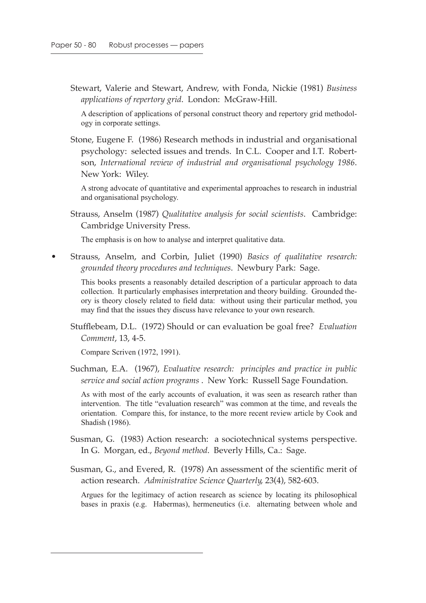Stewart, Valerie and Stewart, Andrew, with Fonda, Nickie (1981) *Business applications of repertory grid*. London: McGraw-Hill.

A description of applications of personal construct theory and repertory grid methodology in corporate settings.

Stone, Eugene F. (1986) Research methods in industrial and organisational psychology: selected issues and trends. In C.L. Cooper and I.T. Robertson, *International review of industrial and organisational psychology 1986*. New York: Wiley.

A strong advocate of quantitative and experimental approaches to research in industrial and organisational psychology.

Strauss, Anselm (1987) *Qualitative analysis for social scientists*. Cambridge: Cambridge University Press.

The emphasis is on how to analyse and interpret qualitative data.

• Strauss, Anselm, and Corbin, Juliet (1990) *Basics of qualitative research: grounded theory procedures and techniques*. Newbury Park: Sage.

This books presents a reasonably detailed description of a particular approach to data collection. It particularly emphasises interpretation and theory building. Grounded theory is theory closely related to field data: without using their particular method, you may find that the issues they discuss have relevance to your own research.

Stufflebeam, D.L. (1972) Should or can evaluation be goal free? *Evaluation Comment*, 13, 4-5.

Compare Scriven (1972, 1991).

Suchman, E.A. (1967), *Evaluative research: principles and practice in public service and social action programs* . New York: Russell Sage Foundation.

As with most of the early accounts of evaluation, it was seen as research rather than intervention. The title "evaluation research" was common at the time, and reveals the orientation. Compare this, for instance, to the more recent review article by Cook and Shadish (1986).

- Susman, G. (1983) Action research: a sociotechnical systems perspective. In G. Morgan, ed., *Beyond method*. Beverly Hills, Ca.: Sage.
- Susman, G., and Evered, R. (1978) An assessment of the scientific merit of action research. *Administrative Science Quarterly*, 23(4), 582-603.

Argues for the legitimacy of action research as science by locating its philosophical bases in praxis (e.g. Habermas), hermeneutics (i.e. alternating between whole and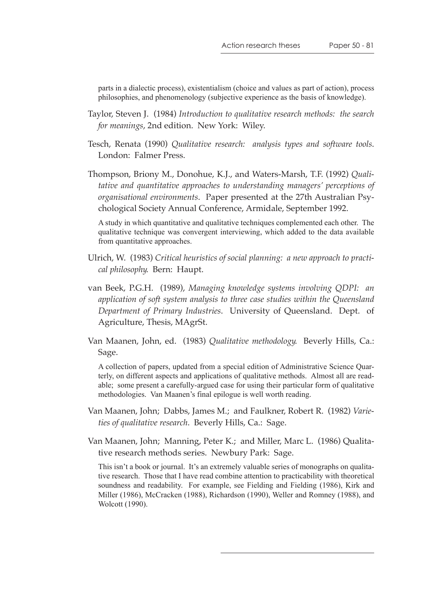parts in a dialectic process), existentialism (choice and values as part of action), process philosophies, and phenomenology (subjective experience as the basis of knowledge).

- Taylor, Steven J. (1984) *Introduction to qualitative research methods: the search for meanings*, 2nd edition. New York: Wiley.
- Tesch, Renata (1990) *Qualitative research: analysis types and software tools*. London: Falmer Press.
- Thompson, Briony M., Donohue, K.J., and Waters-Marsh, T.F. (1992) *Qualitative and quantitative approaches to understanding managers' perceptions of organisational environments*. Paper presented at the 27th Australian Psychological Society Annual Conference, Armidale, September 1992.

A study in which quantitative and qualitative techniques complemented each other. The qualitative technique was convergent interviewing, which added to the data available from quantitative approaches.

- Ulrich, W. (1983) *Critical heuristics of social planning: a new approach to practical philosophy*. Bern: Haupt.
- van Beek, P.G.H. (1989), *Managing knowledge systems involving QDPI: an application of soft system analysis to three case studies within the Queensland Department of Primary Industries*. University of Queensland. Dept. of Agriculture, Thesis, MAgrSt.
- Van Maanen, John, ed. (1983) *Qualitative methodology*. Beverly Hills, Ca.: Sage.

A collection of papers, updated from a special edition of Administrative Science Quarterly, on different aspects and applications of qualitative methods. Almost all are readable; some present a carefully-argued case for using their particular form of qualitative methodologies. Van Maanen's final epilogue is well worth reading.

- Van Maanen, John; Dabbs, James M.; and Faulkner, Robert R. (1982) *Varieties of qualitative research*. Beverly Hills, Ca.: Sage.
- Van Maanen, John; Manning, Peter K.; and Miller, Marc L. (1986) Qualitative research methods series. Newbury Park: Sage.

This isn't a book or journal. It's an extremely valuable series of monographs on qualitative research. Those that I have read combine attention to practicability with theoretical soundness and readability. For example, see Fielding and Fielding (1986), Kirk and Miller (1986), McCracken (1988), Richardson (1990), Weller and Romney (1988), and Wolcott (1990).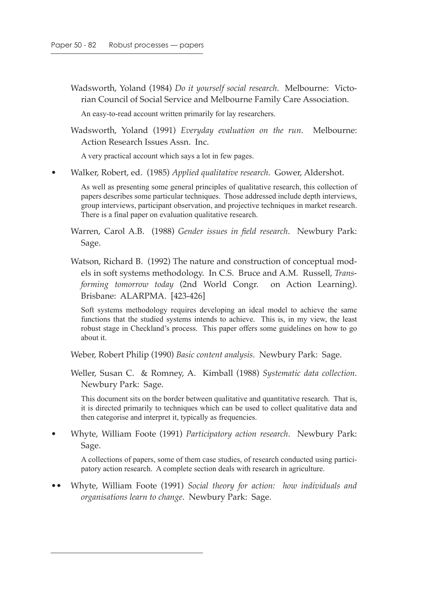Wadsworth, Yoland (1984) *Do it yourself social research*. Melbourne: Victorian Council of Social Service and Melbourne Family Care Association.

An easy-to-read account written primarily for lay researchers.

Wadsworth, Yoland (1991) *Everyday evaluation on the run*. Melbourne: Action Research Issues Assn. Inc.

A very practical account which says a lot in few pages.

• Walker, Robert, ed. (1985) *Applied qualitative research*. Gower, Aldershot.

As well as presenting some general principles of qualitative research, this collection of papers describes some particular techniques. Those addressed include depth interviews, group interviews, participant observation, and projective techniques in market research. There is a final paper on evaluation qualitative research.

Warren, Carol A.B. (1988) *Gender issues in field research*. Newbury Park: Sage.

Watson, Richard B. (1992) The nature and construction of conceptual models in soft systems methodology. In C.S. Bruce and A.M. Russell, *Transforming tomorrow today* (2nd World Congr. on Action Learning). Brisbane: ALARPMA. [423-426]

Soft systems methodology requires developing an ideal model to achieve the same functions that the studied systems intends to achieve. This is, in my view, the least robust stage in Checkland's process. This paper offers some guidelines on how to go about it.

Weber, Robert Philip (1990) *Basic content analysis*. Newbury Park: Sage.

Weller, Susan C. & Romney, A. Kimball (1988) *Systematic data collection*. Newbury Park: Sage.

This document sits on the border between qualitative and quantitative research. That is, it is directed primarily to techniques which can be used to collect qualitative data and then categorise and interpret it, typically as frequencies.

• Whyte, William Foote (1991) *Participatory action research*. Newbury Park: Sage.

A collections of papers, some of them case studies, of research conducted using participatory action research. A complete section deals with research in agriculture.

•• Whyte, William Foote (1991) *Social theory for action: how individuals and organisations learn to change*. Newbury Park: Sage.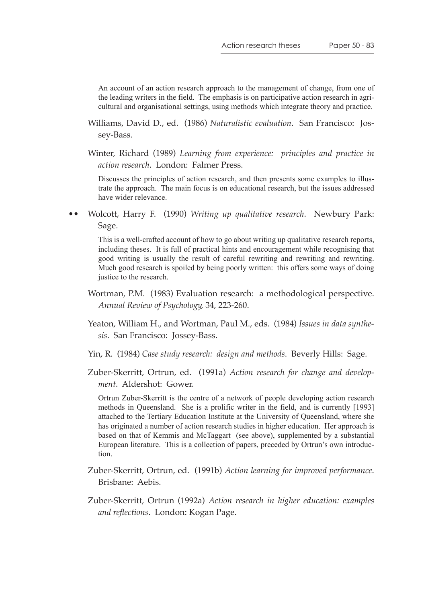An account of an action research approach to the management of change, from one of the leading writers in the field. The emphasis is on participative action research in agricultural and organisational settings, using methods which integrate theory and practice.

- Williams, David D., ed. (1986) *Naturalistic evaluation*. San Francisco: Jossey-Bass.
- Winter, Richard (1989) *Learning from experience: principles and practice in action research*. London: Falmer Press.

Discusses the principles of action research, and then presents some examples to illustrate the approach. The main focus is on educational research, but the issues addressed have wider relevance.

•• Wolcott, Harry F. (1990) *Writing up qualitative research*. Newbury Park: Sage.

This is a well-crafted account of how to go about writing up qualitative research reports, including theses. It is full of practical hints and encouragement while recognising that good writing is usually the result of careful rewriting and rewriting and rewriting. Much good research is spoiled by being poorly written: this offers some ways of doing justice to the research.

- Wortman, P.M. (1983) Evaluation research: a methodological perspective. *Annual Review of Psychology*, 34, 223-260.
- Yeaton, William H., and Wortman, Paul M., eds. (1984) *Issues in data synthesis*. San Francisco: Jossey-Bass.
- Yin, R. (1984) *Case study research: design and methods*. Beverly Hills: Sage.
- Zuber-Skerritt, Ortrun, ed. (1991a) *Action research for change and development*. Aldershot: Gower.

Ortrun Zuber-Skerritt is the centre of a network of people developing action research methods in Queensland. She is a prolific writer in the field, and is currently [1993] attached to the Tertiary Education Institute at the University of Queensland, where she has originated a number of action research studies in higher education. Her approach is based on that of Kemmis and McTaggart (see above), supplemented by a substantial European literature. This is a collection of papers, preceded by Ortrun's own introduction.

- Zuber-Skerritt, Ortrun, ed. (1991b) *Action learning for improved performance*. Brisbane: Aebis.
- Zuber-Skerritt, Ortrun (1992a) *Action research in higher education: examples and reflections*. London: Kogan Page.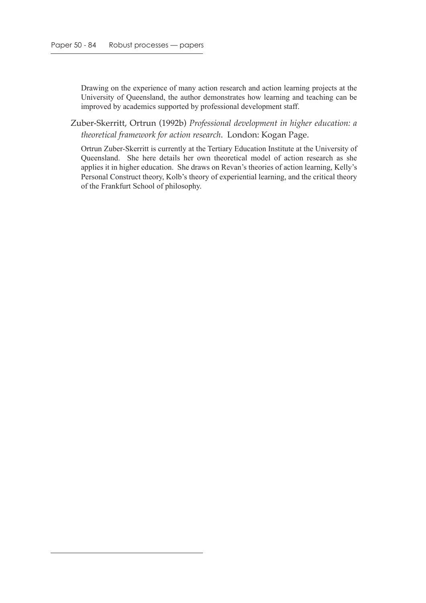Drawing on the experience of many action research and action learning projects at the University of Queensland, the author demonstrates how learning and teaching can be improved by academics supported by professional development staff.

Zuber-Skerritt, Ortrun (1992b) *Professional development in higher education: a theoretical framework for action research*. London: Kogan Page.

Ortrun Zuber-Skerritt is currently at the Tertiary Education Institute at the University of Queensland. She here details her own theoretical model of action research as she applies it in higher education. She draws on Revan's theories of action learning, Kelly's Personal Construct theory, Kolb's theory of experiential learning, and the critical theory of the Frankfurt School of philosophy.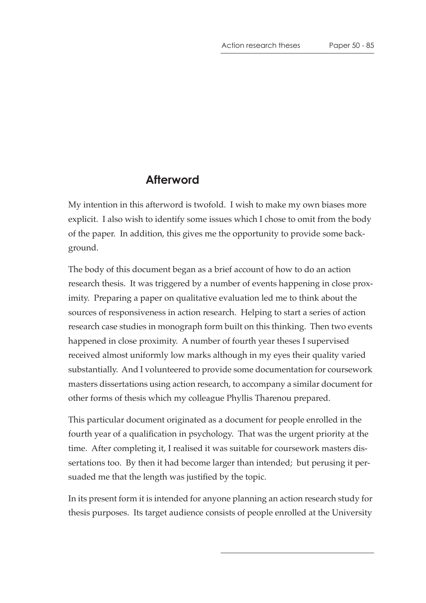## **Afterword**

My intention in this afterword is twofold. I wish to make my own biases more explicit. I also wish to identify some issues which I chose to omit from the body of the paper. In addition, this gives me the opportunity to provide some background.

The body of this document began as a brief account of how to do an action research thesis. It was triggered by a number of events happening in close proximity. Preparing a paper on qualitative evaluation led me to think about the sources of responsiveness in action research. Helping to start a series of action research case studies in monograph form built on this thinking. Then two events happened in close proximity. A number of fourth year theses I supervised received almost uniformly low marks although in my eyes their quality varied substantially. And I volunteered to provide some documentation for coursework masters dissertations using action research, to accompany a similar document for other forms of thesis which my colleague Phyllis Tharenou prepared.

This particular document originated as a document for people enrolled in the fourth year of a qualification in psychology. That was the urgent priority at the time. After completing it, I realised it was suitable for coursework masters dissertations too. By then it had become larger than intended; but perusing it persuaded me that the length was justified by the topic.

In its present form it is intended for anyone planning an action research study for thesis purposes. Its target audience consists of people enrolled at the University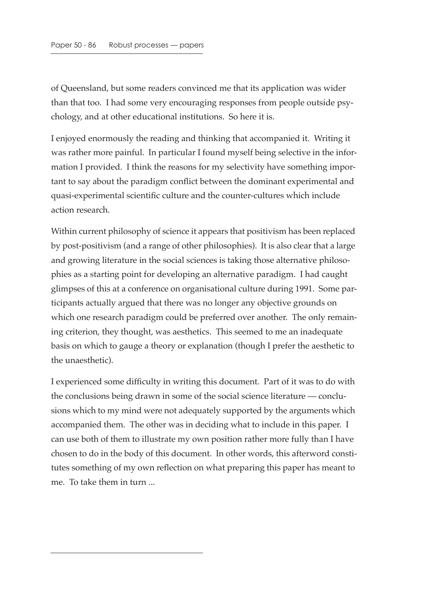of Queensland, but some readers convinced me that its application was wider than that too. I had some very encouraging responses from people outside psychology, and at other educational institutions. So here it is.

I enjoyed enormously the reading and thinking that accompanied it. Writing it was rather more painful. In particular I found myself being selective in the information I provided. I think the reasons for my selectivity have something important to say about the paradigm conflict between the dominant experimental and quasi-experimental scientific culture and the counter-cultures which include action research.

Within current philosophy of science it appears that positivism has been replaced by post-positivism (and a range of other philosophies). It is also clear that a large and growing literature in the social sciences is taking those alternative philosophies as a starting point for developing an alternative paradigm. I had caught glimpses of this at a conference on organisational culture during 1991. Some participants actually argued that there was no longer any objective grounds on which one research paradigm could be preferred over another. The only remaining criterion, they thought, was aesthetics. This seemed to me an inadequate basis on which to gauge a theory or explanation (though I prefer the aesthetic to the unaesthetic).

I experienced some difficulty in writing this document. Part of it was to do with the conclusions being drawn in some of the social science literature — conclusions which to my mind were not adequately supported by the arguments which accompanied them. The other was in deciding what to include in this paper. I can use both of them to illustrate my own position rather more fully than I have chosen to do in the body of this document. In other words, this afterword constitutes something of my own reflection on what preparing this paper has meant to me. To take them in turn ...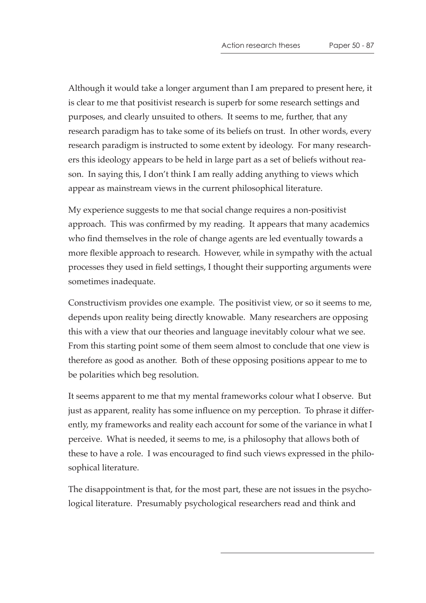Although it would take a longer argument than I am prepared to present here, it is clear to me that positivist research is superb for some research settings and purposes, and clearly unsuited to others. It seems to me, further, that any research paradigm has to take some of its beliefs on trust. In other words, every research paradigm is instructed to some extent by ideology. For many researchers this ideology appears to be held in large part as a set of beliefs without reason. In saying this, I don't think I am really adding anything to views which appear as mainstream views in the current philosophical literature.

My experience suggests to me that social change requires a non-positivist approach. This was confirmed by my reading. It appears that many academics who find themselves in the role of change agents are led eventually towards a more flexible approach to research. However, while in sympathy with the actual processes they used in field settings, I thought their supporting arguments were sometimes inadequate.

Constructivism provides one example. The positivist view, or so it seems to me, depends upon reality being directly knowable. Many researchers are opposing this with a view that our theories and language inevitably colour what we see. From this starting point some of them seem almost to conclude that one view is therefore as good as another. Both of these opposing positions appear to me to be polarities which beg resolution.

It seems apparent to me that my mental frameworks colour what I observe. But just as apparent, reality has some influence on my perception. To phrase it differently, my frameworks and reality each account for some of the variance in what I perceive. What is needed, it seems to me, is a philosophy that allows both of these to have a role. I was encouraged to find such views expressed in the philosophical literature.

The disappointment is that, for the most part, these are not issues in the psychological literature. Presumably psychological researchers read and think and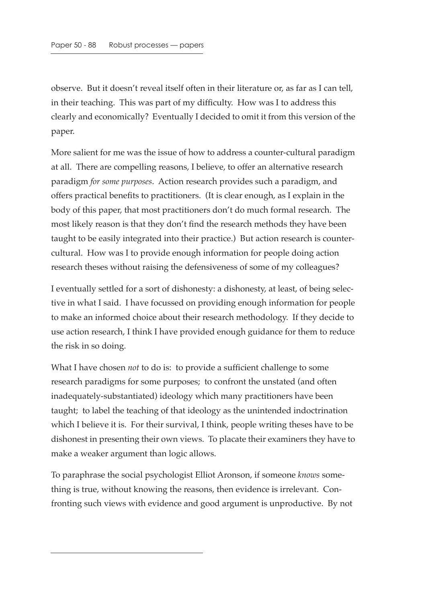observe. But it doesn't reveal itself often in their literature or, as far as I can tell, in their teaching. This was part of my difficulty. How was I to address this clearly and economically? Eventually I decided to omit it from this version of the paper.

More salient for me was the issue of how to address a counter-cultural paradigm at all. There are compelling reasons, I believe, to offer an alternative research paradigm *for some purposes*. Action research provides such a paradigm, and offers practical benefits to practitioners. (It is clear enough, as I explain in the body of this paper, that most practitioners don't do much formal research. The most likely reason is that they don't find the research methods they have been taught to be easily integrated into their practice.) But action research is countercultural. How was I to provide enough information for people doing action research theses without raising the defensiveness of some of my colleagues?

I eventually settled for a sort of dishonesty: a dishonesty, at least, of being selective in what I said. I have focussed on providing enough information for people to make an informed choice about their research methodology. If they decide to use action research, I think I have provided enough guidance for them to reduce the risk in so doing.

What I have chosen *not* to do is: to provide a sufficient challenge to some research paradigms for some purposes; to confront the unstated (and often inadequately-substantiated) ideology which many practitioners have been taught; to label the teaching of that ideology as the unintended indoctrination which I believe it is. For their survival, I think, people writing theses have to be dishonest in presenting their own views. To placate their examiners they have to make a weaker argument than logic allows.

To paraphrase the social psychologist Elliot Aronson, if someone *knows* something is true, without knowing the reasons, then evidence is irrelevant. Confronting such views with evidence and good argument is unproductive. By not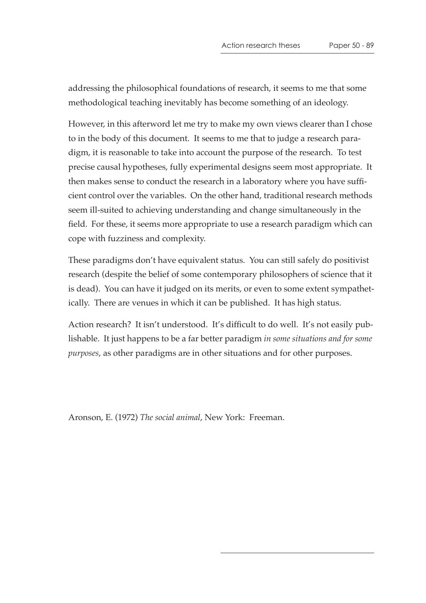addressing the philosophical foundations of research, it seems to me that some methodological teaching inevitably has become something of an ideology.

However, in this afterword let me try to make my own views clearer than I chose to in the body of this document. It seems to me that to judge a research paradigm, it is reasonable to take into account the purpose of the research. To test precise causal hypotheses, fully experimental designs seem most appropriate. It then makes sense to conduct the research in a laboratory where you have sufficient control over the variables. On the other hand, traditional research methods seem ill-suited to achieving understanding and change simultaneously in the field. For these, it seems more appropriate to use a research paradigm which can cope with fuzziness and complexity.

These paradigms don't have equivalent status. You can still safely do positivist research (despite the belief of some contemporary philosophers of science that it is dead). You can have it judged on its merits, or even to some extent sympathetically. There are venues in which it can be published. It has high status.

Action research? It isn't understood. It's difficult to do well. It's not easily publishable. It just happens to be a far better paradigm *in some situations and for some purposes*, as other paradigms are in other situations and for other purposes.

Aronson, E. (1972) *The social animal*, New York: Freeman.